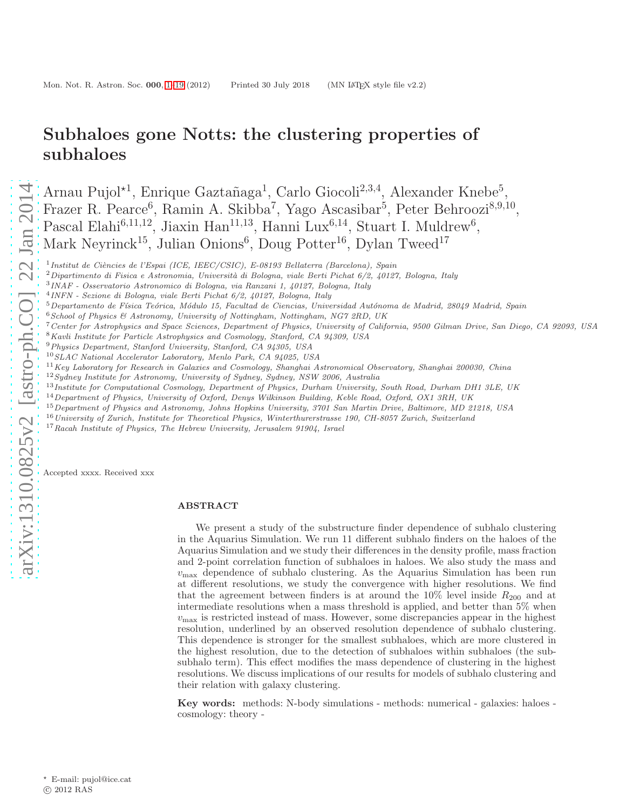# Subhaloes gone Notts: the clustering properties of subhaloes

Arnau Pujol<sup>\*1</sup>, Enrique Gaztañaga<sup>1</sup>, Carlo Giocoli<sup>2,3,4</sup>, Alexander Knebe<sup>5</sup>, Frazer R. Pearce<sup>6</sup>, Ramin A. Skibba<sup>7</sup>, Yago Ascasibar<sup>5</sup>, Peter Behroozi<sup>8,9,10</sup>, Pascal Elahi<sup>6,11,12</sup>, Jiaxin Han<sup>11,13</sup>, Hanni Lux<sup>6,14</sup>, Stuart I. Muldrew<sup>6</sup>, Mark Neyrinck<sup>15</sup>, Julian Onions<sup>6</sup>, Doug Potter<sup>16</sup>, Dylan Tweed<sup>17</sup>

<sup>1</sup> Institut de Ciències de l'Espai (ICE, IEEC/CSIC), E-08193 Bellaterra (Barcelona), Spain

<sup>2</sup> Dipartimento di Fisica e Astronomia, Università di Bologna, viale Berti Pichat 6/2, 40127, Bologna, Italy

- 3 INAF Osservatorio Astronomico di Bologna, via Ranzani 1, 40127, Bologna, Italy
- 4 INFN Sezione di Bologna, viale Berti Pichat 6/2, 40127, Bologna, Italy
- $5$ Departamento de Física Teórica, Módulo 15, Facultad de Ciencias, Universidad Autónoma de Madrid, 28049 Madrid, Spain
- $6$  School of Physics  $6$  Astronomy, University of Nottingham, Nottingham, NG7 2RD, UK
- <sup>7</sup>Center for Astrophysics and Space Sciences, Department of Physics, University of California, 9500 Gilman Drive, San Diego, CA 92093, USA
- <sup>8</sup>Kavli Institute for Particle Astrophysics and Cosmology, Stanford, CA 94309, USA
- <sup>9</sup>Physics Department, Stanford University, Stanford, CA 94305, USA
- <sup>10</sup>SLAC National Accelerator Laboratory, Menlo Park, CA 94025, USA
- $11$  Key Laboratory for Research in Galaxies and Cosmology, Shanghai Astronomical Observatory, Shanghai 200030, China
- $12$  Sydney Institute for Astronomy, University of Sydney, Sydney, NSW 2006, Australia
- <sup>13</sup> Institute for Computational Cosmology, Department of Physics, Durham University, South Road, Durham DH1 3LE, UK
- <sup>14</sup> Department of Physics, University of Oxford, Denys Wilkinson Building, Keble Road, Oxford, OX1 3RH, UK
- <sup>15</sup> Department of Physics and Astronomy, Johns Hopkins University, 3701 San Martin Drive, Baltimore, MD 21218, USA
- <sup>16</sup> University of Zurich, Institute for Theoretical Physics, Winterthurerstrasse 190, CH-8057 Zurich, Switzerland
- $17$ Racah Institute of Physics, The Hebrew University, Jerusalem 91904, Israel

Accepted xxxx. Received xxx

# ABSTRACT

We present a study of the substructure finder dependence of subhalo clustering in the Aquarius Simulation. We run 11 different subhalo finders on the haloes of the Aquarius Simulation and we study their differences in the density profile, mass fraction and 2-point correlation function of subhaloes in haloes. We also study the mass and  $v_{\text{max}}$  dependence of subhalo clustering. As the Aquarius Simulation has been run at different resolutions, we study the convergence with higher resolutions. We find that the agreement between finders is at around the  $10\%$  level inside  $R_{200}$  and at intermediate resolutions when a mass threshold is applied, and better than 5% when  $v_{\text{max}}$  is restricted instead of mass. However, some discrepancies appear in the highest resolution, underlined by an observed resolution dependence of subhalo clustering. This dependence is stronger for the smallest subhaloes, which are more clustered in the highest resolution, due to the detection of subhaloes within subhaloes (the subsubhalo term). This effect modifies the mass dependence of clustering in the highest resolutions. We discuss implications of our results for models of subhalo clustering and their relation with galaxy clustering.

<span id="page-0-0"></span>Key words: methods: N-body simulations - methods: numerical - galaxies: haloes cosmology: theory -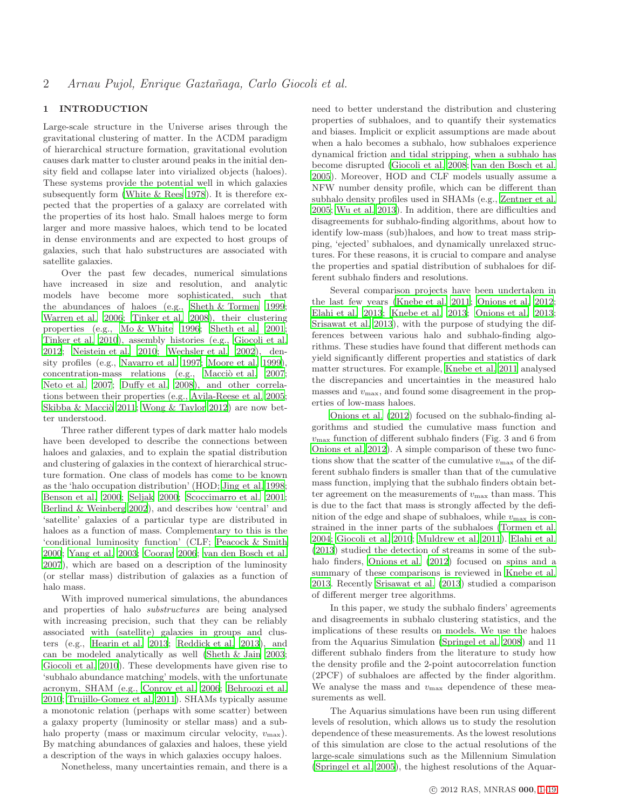# 1 INTRODUCTION

Large-scale structure in the Universe arises through the gravitational clustering of matter. In the ΛCDM paradigm of hierarchical structure formation, gravitational evolution causes dark matter to cluster around peaks in the initial density field and collapse later into virialized objects (haloes). These systems provide the potential well in which galaxies subsequently form [\(White & Rees 1978](#page-16-0)). It is therefore expected that the properties of a galaxy are correlated with the properties of its host halo. Small haloes merge to form larger and more massive haloes, which tend to be located in dense environments and are expected to host groups of galaxies, such that halo substructures are associated with satellite galaxies.

Over the past few decades, numerical simulations have increased in size and resolution, and analytic models have become more sophisticated, such that the abundances of haloes (e.g., [Sheth & Tormen 1999;](#page-16-1) [Warren et al. 2006](#page-16-2); [Tinker et al. 2008](#page-16-3)), their clustering properties (e.g., [Mo & White 1996](#page-15-0); [Sheth et al. 2001;](#page-16-4) [Tinker et al. 2010](#page-16-5)), assembly histories (e.g., [Giocoli et al.](#page-15-1) [2012](#page-15-1); [Neistein et al. 2010](#page-15-2); [Wechsler et al. 2002](#page-16-6)), density profiles (e.g., [Navarro et al. 1997](#page-15-3); [Moore et al. 1999](#page-15-4)), concentration-mass relations (e.g., Macciò et al.  $2007$ ; [Neto et al. 2007;](#page-15-6) [Duffy et al. 2008](#page-15-7)), and other correlations between their properties (e.g., [Avila-Reese et al. 2005;](#page-15-8) Skibba & Macciò 2011; [Wong & Taylor 2012\)](#page-16-8) are now better understood.

Three rather different types of dark matter halo models have been developed to describe the connections between haloes and galaxies, and to explain the spatial distribution and clustering of galaxies in the context of hierarchical structure formation. One class of models has come to be known as the 'halo occupation distribution' (HOD; [Jing et al. 1998;](#page-15-9) [Benson et al. 2000](#page-15-10); [Seljak 2000](#page-16-9); [Scoccimarro et al. 2001;](#page-16-10) [Berlind & Weinberg 2002](#page-15-11)), and describes how 'central' and 'satellite' galaxies of a particular type are distributed in haloes as a function of mass. Complementary to this is the 'conditional luminosity function' (CLF; [Peacock & Smith](#page-16-11) [2000](#page-16-11); [Yang et al. 2003](#page-16-12); [Cooray 2006](#page-15-12); [van den Bosch et al.](#page-16-13) [2007](#page-16-13)), which are based on a description of the luminosity (or stellar mass) distribution of galaxies as a function of halo mass.

With improved numerical simulations, the abundances and properties of halo substructures are being analysed with increasing precision, such that they can be reliably associated with (satellite) galaxies in groups and clusters (e.g., [Hearin et al. 2013](#page-15-13); [Reddick et al. 2013](#page-16-14)), and can be modeled analytically as well [\(Sheth & Jain 2003;](#page-16-15) [Giocoli et al. 2010\)](#page-15-14). These developments have given rise to 'subhalo abundance matching' models, with the unfortunate acronym, SHAM (e.g., [Conroy et al. 2006](#page-15-15); [Behroozi et al.](#page-15-16) [2010](#page-15-16); [Trujillo-Gomez et al. 2011](#page-16-16)). SHAMs typically assume a monotonic relation (perhaps with some scatter) between a galaxy property (luminosity or stellar mass) and a subhalo property (mass or maximum circular velocity,  $v_{\text{max}}$ ). By matching abundances of galaxies and haloes, these yield a description of the ways in which galaxies occupy haloes.

Nonetheless, many uncertainties remain, and there is a

need to better understand the distribution and clustering properties of subhaloes, and to quantify their systematics and biases. Implicit or explicit assumptions are made about when a halo becomes a subhalo, how subhaloes experience dynamical friction and tidal stripping, when a subhalo has become disrupted [\(Giocoli et al. 2008](#page-15-17); [van den Bosch et al.](#page-16-17) [2005](#page-16-17)). Moreover, HOD and CLF models usually assume a NFW number density profile, which can be different than subhalo density profiles used in SHAMs (e.g., [Zentner et al.](#page-16-18) [2005](#page-16-18); [Wu et al. 2013](#page-16-19)). In addition, there are difficulties and disagreements for subhalo-finding algorithms, about how to identify low-mass (sub)haloes, and how to treat mass stripping, 'ejected' subhaloes, and dynamically unrelaxed structures. For these reasons, it is crucial to compare and analyse the properties and spatial distribution of subhaloes for different subhalo finders and resolutions.

Several comparison projects have been undertaken in the last few years [\(Knebe et al. 2011](#page-15-18); [Onions et al. 2012](#page-16-20); [Elahi et al. 2013](#page-15-19); [Knebe et al. 2013;](#page-15-20) [Onions et al. 2013](#page-16-21); [Srisawat et al. 2013](#page-16-22)), with the purpose of studying the differences between various halo and subhalo-finding algorithms. These studies have found that different methods can yield significantly different properties and statistics of dark matter structures. For example, [Knebe et al. 2011](#page-15-18) analysed the discrepancies and uncertainties in the measured halo masses and  $v_{\text{max}}$ , and found some disagreement in the properties of low-mass haloes.

[Onions et al. \(2012](#page-16-20)) focused on the subhalo-finding algorithms and studied the cumulative mass function and  $v_{\text{max}}$  function of different subhalo finders (Fig. 3 and 6 from [Onions et al. 2012](#page-16-20)). A simple comparison of these two functions show that the scatter of the cumulative  $v_{\text{max}}$  of the different subhalo finders is smaller than that of the cumulative mass function, implying that the subhalo finders obtain better agreement on the measurements of  $v_{\text{max}}$  than mass. This is due to the fact that mass is strongly affected by the definition of the edge and shape of subhaloes, while  $v_{\text{max}}$  is constrained in the inner parts of the subhaloes [\(Tormen et al.](#page-16-23) [2004](#page-16-23); [Giocoli et al. 2010](#page-15-14); [Muldrew et al. 2011](#page-15-21)). [Elahi et al.](#page-15-19) [\(2013](#page-15-19)) studied the detection of streams in some of the subhalo finders, [Onions et al. \(2012\)](#page-16-20) focused on spins and a summary of these comparisons is reviewed in [Knebe et al.](#page-15-20) [2013](#page-15-20). Recently [Srisawat et al. \(2013\)](#page-16-22) studied a comparison of different merger tree algorithms.

In this paper, we study the subhalo finders' agreements and disagreements in subhalo clustering statistics, and the implications of these results on models. We use the haloes from the Aquarius Simulation [\(Springel et al. 2008](#page-16-24)) and 11 different subhalo finders from the literature to study how the density profile and the 2-point autocorrelation function (2PCF) of subhaloes are affected by the finder algorithm. We analyse the mass and  $v_{\text{max}}$  dependence of these measurements as well.

The Aquarius simulations have been run using different levels of resolution, which allows us to study the resolution dependence of these measurements. As the lowest resolutions of this simulation are close to the actual resolutions of the large-scale simulations such as the Millennium Simulation [\(Springel et al. 2005](#page-16-25)), the highest resolutions of the Aquar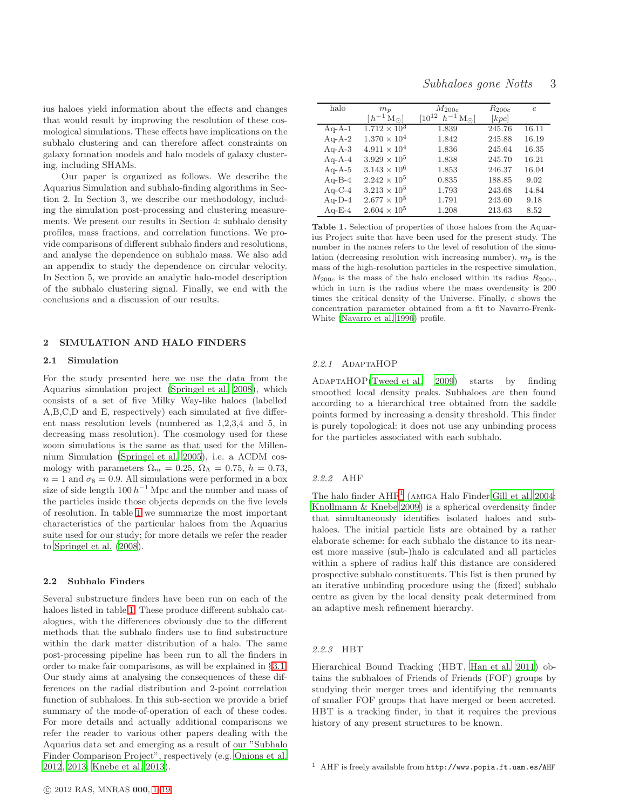ius haloes yield information about the effects and changes that would result by improving the resolution of these cosmological simulations. These effects have implications on the subhalo clustering and can therefore affect constraints on galaxy formation models and halo models of galaxy clustering, including SHAMs.

Our paper is organized as follows. We describe the Aquarius Simulation and subhalo-finding algorithms in Section 2. In Section 3, we describe our methodology, including the simulation post-processing and clustering measurements. We present our results in Section 4: subhalo density profiles, mass fractions, and correlation functions. We provide comparisons of different subhalo finders and resolutions, and analyse the dependence on subhalo mass. We also add an appendix to study the dependence on circular velocity. In Section 5, we provide an analytic halo-model description of the subhalo clustering signal. Finally, we end with the conclusions and a discussion of our results.

# 2 SIMULATION AND HALO FINDERS

#### 2.1 Simulation

For the study presented here we use the data from the Aquarius simulation project [\(Springel et al. 2008\)](#page-16-24), which consists of a set of five Milky Way-like haloes (labelled A,B,C,D and E, respectively) each simulated at five different mass resolution levels (numbered as 1,2,3,4 and 5, in decreasing mass resolution). The cosmology used for these zoom simulations is the same as that used for the Millennium Simulation [\(Springel et al. 2005](#page-16-25)), i.e. a ΛCDM cosmology with parameters  $\Omega_m = 0.25$ ,  $\Omega_{\Lambda} = 0.75$ ,  $h = 0.73$ ,  $n = 1$  and  $\sigma_8 = 0.9$ . All simulations were performed in a box size of side length  $100 h^{-1}$  Mpc and the number and mass of the particles inside those objects depends on the five levels of resolution. In table [1](#page-2-0) we summarize the most important characteristics of the particular haloes from the Aquarius suite used for our study; for more details we refer the reader to [Springel et al. \(2008\)](#page-16-24).

#### 2.2 Subhalo Finders

Several substructure finders have been run on each of the haloes listed in table [1.](#page-2-0) These produce different subhalo catalogues, with the differences obviously due to the different methods that the subhalo finders use to find substructure within the dark matter distribution of a halo. The same post-processing pipeline has been run to all the finders in order to make fair comparisons, as will be explained in §[3.1.](#page-3-0) Our study aims at analysing the consequences of these differences on the radial distribution and 2-point correlation function of subhaloes. In this sub-section we provide a brief summary of the mode-of-operation of each of these codes. For more details and actually additional comparisons we refer the reader to various other papers dealing with the Aquarius data set and emerging as a result of our "Subhalo Finder Comparison Project", respectively (e.g. [Onions et al.](#page-16-20) [2012](#page-16-20), [2013](#page-16-21); [Knebe et al. 2013](#page-15-20)).

| halo     | $m_p$                 | $M_{200c}$                              | $R_{200c}$ | $\boldsymbol{c}$ |
|----------|-----------------------|-----------------------------------------|------------|------------------|
|          | $[h^{-1} M_{\odot}]$  | $[10^{12} \; h^{-1} \, \text{M} \odot]$ | [kpc]      |                  |
| Aq-A-1   | $1.712 \times 10^3$   | 1.839                                   | 245.76     | 16.11            |
| $Aq-A-2$ | $1.370 \times 10^{4}$ | 1.842                                   | 245.88     | 16.19            |
| $Aq-A-3$ | $4.911 \times 10^{4}$ | 1.836                                   | 245.64     | 16.35            |
| Aq-A-4   | $3.929 \times 10^5$   | 1.838                                   | 245.70     | 16.21            |
| $Aq-A-5$ | $3.143 \times 10^{6}$ | 1.853                                   | 246.37     | 16.04            |

Subhaloes gone Notts 3

<span id="page-2-0"></span>Table 1. Selection of properties of those haloes from the Aquarius Project suite that have been used for the present study. The number in the names refers to the level of resolution of the simulation (decreasing resolution with increasing number).  $m_p$  is the mass of the high-resolution particles in the respective simulation,  $M_{200c}$  is the mass of the halo enclosed within its radius  $R_{200c}$ , which in turn is the radius where the mass overdensity is 200 times the critical density of the Universe. Finally, c shows the concentration parameter obtained from a fit to Navarro-Frenk-White [\(Navarro et al. 1996\)](#page-15-22) profile.

Aq-B-4  $2.242 \times 10^5$  0.835 188.85 9.02 Aq-C-4  $3.213 \times 10^5$  1.793 243.68 14.84 Aq-D-4  $2.677 \times 10^5$  1.791  $243.60$  9.18 Aq-E-4  $2.604 \times 10^5$  1.208 213.63 8.52

## 2.2.1 ADAPTAHOP

ADAPTAHOP[\(Tweed et al. 2009](#page-16-26)) starts by finding smoothed local density peaks. Subhaloes are then found according to a hierarchical tree obtained from the saddle points formed by increasing a density threshold. This finder is purely topological: it does not use any unbinding process for the particles associated with each subhalo.

## 2.2.2 AHF

The halo finder  $AHF<sup>1</sup>$  $AHF<sup>1</sup>$  $AHF<sup>1</sup>$  (AMIGA Halo Finder, Gill et al. 2004; [Knollmann & Knebe 2009](#page-15-24)) is a spherical overdensity finder that simultaneously identifies isolated haloes and subhaloes. The initial particle lists are obtained by a rather elaborate scheme: for each subhalo the distance to its nearest more massive (sub-)halo is calculated and all particles within a sphere of radius half this distance are considered prospective subhalo constituents. This list is then pruned by an iterative unbinding procedure using the (fixed) subhalo centre as given by the local density peak determined from an adaptive mesh refinement hierarchy.

## 2.2.3 HBT

Hierarchical Bound Tracking (HBT, [Han et al. 2011](#page-15-25)) obtains the subhaloes of Friends of Friends (FOF) groups by studying their merger trees and identifying the remnants of smaller FOF groups that have merged or been accreted. HBT is a tracking finder, in that it requires the previous history of any present structures to be known.

<span id="page-2-1"></span> $1$  AHF is freely available from http://www.popia.ft.uam.es/AHF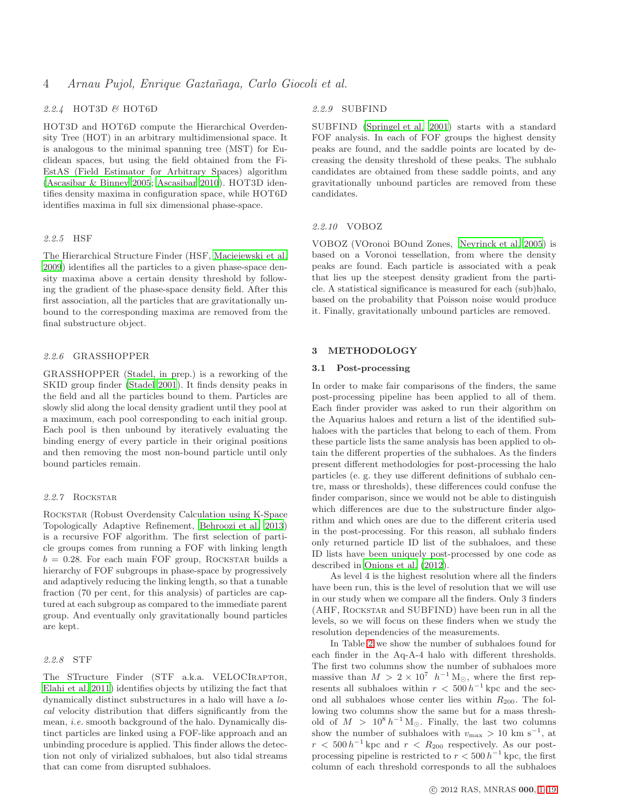## 2.2.4 HOT3D & HOT6D

HOT3D and HOT6D compute the Hierarchical Overdensity Tree (HOT) in an arbitrary multidimensional space. It is analogous to the minimal spanning tree (MST) for Euclidean spaces, but using the field obtained from the Fi-EstAS (Field Estimator for Arbitrary Spaces) algorithm [\(Ascasibar & Binney 2005;](#page-15-26) [Ascasibar 2010](#page-15-27)). HOT3D identifies density maxima in configuration space, while HOT6D identifies maxima in full six dimensional phase-space.

#### 2.2.5 HSF

The Hierarchical Structure Finder (HSF, [Maciejewski et al.](#page-15-28) [2009](#page-15-28)) identifies all the particles to a given phase-space density maxima above a certain density threshold by following the gradient of the phase-space density field. After this first association, all the particles that are gravitationally unbound to the corresponding maxima are removed from the final substructure object.

#### 2.2.6 GRASSHOPPER

GRASSHOPPER (Stadel, in prep.) is a reworking of the SKID group finder [\(Stadel 2001](#page-16-27)). It finds density peaks in the field and all the particles bound to them. Particles are slowly slid along the local density gradient until they pool at a maximum, each pool corresponding to each initial group. Each pool is then unbound by iteratively evaluating the binding energy of every particle in their original positions and then removing the most non-bound particle until only bound particles remain.

#### 2.2.7 ROCKSTAR

Rockstar (Robust Overdensity Calculation using K-Space Topologically Adaptive Refinement, [Behroozi et al. 2013](#page-15-29)) is a recursive FOF algorithm. The first selection of particle groups comes from running a FOF with linking length  $b = 0.28$ . For each main FOF group, ROCKSTAR builds a hierarchy of FOF subgroups in phase-space by progressively and adaptively reducing the linking length, so that a tunable fraction (70 per cent, for this analysis) of particles are captured at each subgroup as compared to the immediate parent group. And eventually only gravitationally bound particles are kept.

## 2.2.8 STF

The STructure Finder (STF a.k.a. VELOCIRAPTOR, [Elahi et al. 2011\)](#page-15-30) identifies objects by utilizing the fact that dynamically distinct substructures in a halo will have a local velocity distribution that differs significantly from the mean, *i.e.* smooth background of the halo. Dynamically distinct particles are linked using a FOF-like approach and an unbinding procedure is applied. This finder allows the detection not only of virialized subhaloes, but also tidal streams that can come from disrupted subhaloes.

## 2.2.9 SUBFIND

SUBFIND [\(Springel et al. 2001](#page-16-28)) starts with a standard FOF analysis. In each of FOF groups the highest density peaks are found, and the saddle points are located by decreasing the density threshold of these peaks. The subhalo candidates are obtained from these saddle points, and any gravitationally unbound particles are removed from these candidates.

## 2.2.10 VOBOZ

VOBOZ (VOronoi BOund Zones, [Neyrinck et al. 2005](#page-16-29)) is based on a Voronoi tessellation, from where the density peaks are found. Each particle is associated with a peak that lies up the steepest density gradient from the particle. A statistical significance is measured for each (sub)halo, based on the probability that Poisson noise would produce it. Finally, gravitationally unbound particles are removed.

## <span id="page-3-0"></span>3 METHODOLOGY

## 3.1 Post-processing

In order to make fair comparisons of the finders, the same post-processing pipeline has been applied to all of them. Each finder provider was asked to run their algorithm on the Aquarius haloes and return a list of the identified subhaloes with the particles that belong to each of them. From these particle lists the same analysis has been applied to obtain the different properties of the subhaloes. As the finders present different methodologies for post-processing the halo particles (e. g. they use different definitions of subhalo centre, mass or thresholds), these differences could confuse the finder comparison, since we would not be able to distinguish which differences are due to the substructure finder algorithm and which ones are due to the different criteria used in the post-processing. For this reason, all subhalo finders only returned particle ID list of the subhaloes, and these ID lists have been uniquely post-processed by one code as described in [Onions et al. \(2012](#page-16-20)).

As level 4 is the highest resolution where all the finders have been run, this is the level of resolution that we will use in our study when we compare all the finders. Only 3 finders (AHF, ROCKSTAR and SUBFIND) have been run in all the levels, so we will focus on these finders when we study the resolution dependencies of the measurements.

In Table [2](#page-4-0) we show the number of subhaloes found for each finder in the Aq-A-4 halo with different thresholds. The first two columns show the number of subhaloes more massive than  $M > 2 \times 10^7 h^{-1} M_{\odot}$ , where the first represents all subhaloes within  $r < 500 h^{-1}$  kpc and the second all subhaloes whose center lies within  $R_{200}$ . The following two columns show the same but for a mass threshold of  $M > 10^8 h^{-1}$  M<sub>☉</sub>. Finally, the last two columns show the number of subhaloes with  $v_{\text{max}} > 10 \text{ km s}^{-1}$ , at  $r < 500 h^{-1}$  kpc and  $r < R_{200}$  respectively. As our postprocessing pipeline is restricted to  $r < 500 h^{-1}$  kpc, the first column of each threshold corresponds to all the subhaloes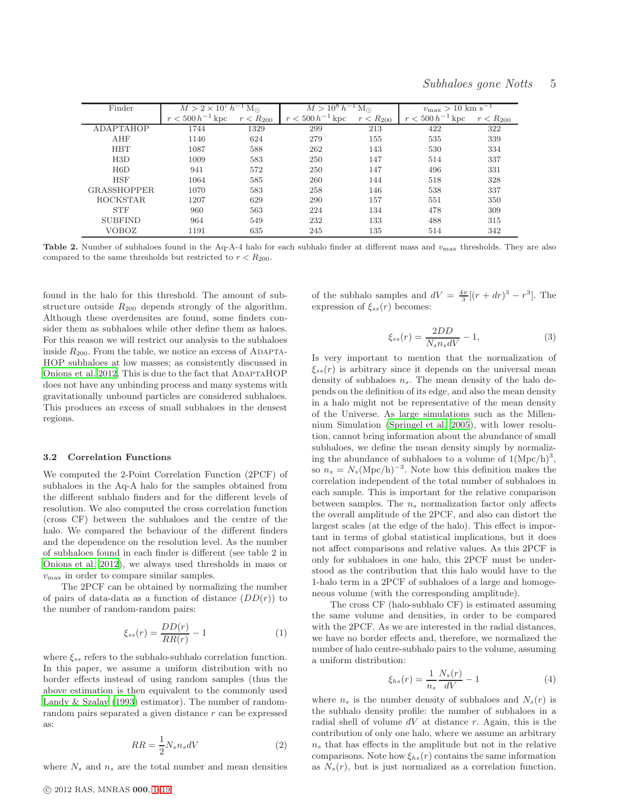| Finder             | $M > 2 \times 10^7 h^{-1} M_{\odot}$ |               | $\overline{M} > 10^8 h^{-1} M_{\odot}$ |               | $v_{\rm max} > 10 \;{\rm km\;s^{-1}}$ |               |
|--------------------|--------------------------------------|---------------|----------------------------------------|---------------|---------------------------------------|---------------|
|                    | $r < 500 h^{-1}$ kpc                 | $r < R_{200}$ | $r < 500 h^{-1}$ kpc                   | $r < R_{200}$ | $r < 500 h^{-1}$ kpc                  | $r < R_{200}$ |
| <b>ADAPTAHOP</b>   | 1744                                 | 1329          | 299                                    | 213           | 422                                   | 322           |
| AHF                | 1146                                 | 624           | 279                                    | 155           | 535                                   | 339           |
| <b>HBT</b>         | 1087                                 | 588           | 262                                    | 143           | 530                                   | 334           |
| H3D                | 1009                                 | 583           | 250                                    | 147           | 514                                   | 337           |
| H6D                | 941                                  | 572           | 250                                    | 147           | 496                                   | 331           |
| <b>HSF</b>         | 1064                                 | 585           | 260                                    | 144           | 518                                   | 328           |
| <b>GRASSHOPPER</b> | 1070                                 | 583           | 258                                    | 146           | 538                                   | 337           |
| ROCKSTAR           | 1207                                 | 629           | 290                                    | 157           | 551                                   | 350           |
| <b>STF</b>         | 960                                  | 563           | 224                                    | 134           | 478                                   | 309           |
| <b>SUBFIND</b>     | 964                                  | 549           | 232                                    | 133           | 488                                   | 315           |
| VOBOZ              | 1191                                 | 635           | 245                                    | 135           | 514                                   | 342           |

<span id="page-4-0"></span>Table 2. Number of subhaloes found in the Aq-A-4 halo for each subhalo finder at different mass and  $v_{\text{max}}$  thresholds. They are also compared to the same thresholds but restricted to  $r < R_{200}$ .

found in the halo for this threshold. The amount of substructure outside  $R_{200}$  depends strongly of the algorithm. Although these overdensites are found, some finders consider them as subhaloes while other define them as haloes. For this reason we will restrict our analysis to the subhaloes inside  $R_{200}$ . From the table, we notice an excess of ADAPTA-HOP subhaloes at low masses; as consistently discussed in [Onions et al. 2012](#page-16-20). This is due to the fact that ADAPTAHOP does not have any unbinding process and many systems with gravitationally unbound particles are considered subhaloes. This produces an excess of small subhaloes in the densest regions.

#### 3.2 Correlation Functions

We computed the 2-Point Correlation Function (2PCF) of subhaloes in the Aq-A halo for the samples obtained from the different subhalo finders and for the different levels of resolution. We also computed the cross correlation function (cross CF) between the subhaloes and the centre of the halo. We compared the behaviour of the different finders and the dependence on the resolution level. As the number of subhaloes found in each finder is different (see table 2 in [Onions et al. 2012](#page-16-20)), we always used thresholds in mass or  $v_{\text{max}}$  in order to compare similar samples.

The 2PCF can be obtained by normalizing the number of pairs of data-data as a function of distance  $(DD(r))$  to the number of random-random pairs:

$$
\xi_{ss}(r) = \frac{DD(r)}{RR(r)} - 1\tag{1}
$$

where  $\xi_{ss}$  refers to the subhalo-subhalo correlation function. In this paper, we assume a uniform distribution with no border effects instead of using random samples (thus the above estimation is then equivalent to the commonly used [Landy & Szalay \(1993](#page-15-31)) estimator). The number of randomrandom pairs separated a given distance  $r$  can be expressed as:

$$
RR = \frac{1}{2} N_s n_s dV \tag{2}
$$

where  $N_s$  and  $n_s$  are the total number and mean densities

of the subhalo samples and  $dV = \frac{4\pi}{3}[(r+dr)^3 - r^3]$ . The expression of  $\xi_{ss}(r)$  becomes:

<span id="page-4-2"></span>
$$
\xi_{ss}(r) = \frac{2DD}{N_s n_s dV} - 1,\tag{3}
$$

Is very important to mention that the normalization of  $\xi_{ss}(r)$  is arbitrary since it depends on the universal mean density of subhaloes  $n_s$ . The mean density of the halo depends on the definition of its edge, and also the mean density in a halo might not be representative of the mean density of the Universe. As large simulations such as the Millennium Simulation [\(Springel et al. 2005\)](#page-16-25), with lower resolution, cannot bring information about the abundance of small subhaloes, we define the mean density simply by normalizing the abundance of subhaloes to a volume of  $1(Mpc/h)^3$ , so  $n_s = N_s (\text{Mpc/h})^{-3}$ . Note how this definition makes the correlation independent of the total number of subhaloes in each sample. This is important for the relative comparison between samples. The  $n_s$  normalization factor only affects the overall amplitude of the 2PCF, and also can distort the largest scales (at the edge of the halo). This effect is important in terms of global statistical implications, but it does not affect comparisons and relative values. As this 2PCF is only for subhaloes in one halo, this 2PCF must be understood as the contribution that this halo would have to the 1-halo term in a 2PCF of subhaloes of a large and homogeneous volume (with the corresponding amplitude).

The cross CF (halo-subhalo CF) is estimated assuming the same volume and densities, in order to be compared with the 2PCF. As we are interested in the radial distances, we have no border effects and, therefore, we normalized the number of halo centre-subhalo pairs to the volume, assuming a uniform distribution:

<span id="page-4-1"></span>
$$
\xi_{hs}(r) = \frac{1}{n_s} \frac{N_s(r)}{dV} - 1\tag{4}
$$

where  $n_s$  is the number density of subhaloes and  $N_s(r)$  is the subhalo density profile: the number of subhaloes in a radial shell of volume  $dV$  at distance r. Again, this is the contribution of only one halo, where we assume an arbitrary  $n<sub>s</sub>$  that has effects in the amplitude but not in the relative comparisons. Note how  $\xi_{hs}(r)$  contains the same information as  $N_s(r)$ , but is just normalized as a correlation function.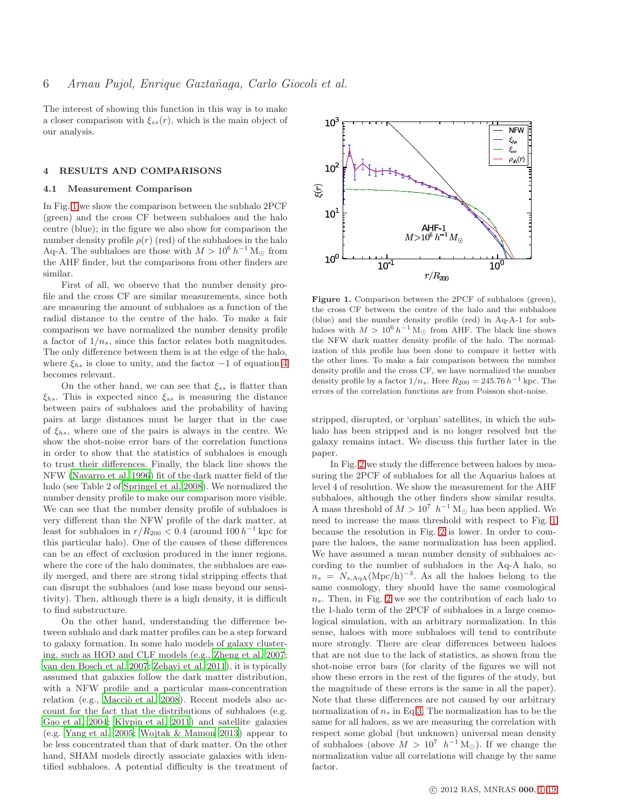The interest of showing this function in this way is to make a closer comparison with  $\xi_{ss}(r)$ , which is the main object of our analysis.

## <span id="page-5-1"></span>4 RESULTS AND COMPARISONS

## 4.1 Measurement Comparison

In Fig. [1](#page-5-0) we show the comparison between the subhalo 2PCF (green) and the cross CF between subhaloes and the halo centre (blue); in the figure we also show for comparison the number density profile  $\rho(r)$  (red) of the subhaloes in the halo Aq-A. The subhaloes are those with  $M > 10^6 h^{-1}$  M<sub>☉</sub> from the AHF finder, but the comparisons from other finders are similar.

First of all, we observe that the number density profile and the cross CF are similar measurements, since both are measuring the amount of subhaloes as a function of the radial distance to the centre of the halo. To make a fair comparison we have normalized the number density profile a factor of  $1/n_s$ , since this factor relates both magnitudes. The only difference between them is at the edge of the halo, where  $\xi_{hs}$  is close to unity, and the factor  $-1$  of equation [4](#page-4-1) becomes relevant.

On the other hand, we can see that  $\xi_{ss}$  is flatter than  $\xi_{hs}$ . This is expected since  $\xi_{ss}$  is measuring the distance between pairs of subhaloes and the probability of having pairs at large distances must be larger that in the case of  $\xi_{hs}$ , where one of the pairs is always in the centre. We show the shot-noise error bars of the correlation functions in order to show that the statistics of subhaloes is enough to trust their differences. Finally, the black line shows the NFW [\(Navarro et al. 1996\)](#page-15-22) fit of the dark matter field of the halo (see Table 2 of [Springel et al. 2008](#page-16-24)). We normalized the number density profile to make our comparison more visible. We can see that the number density profile of subhaloes is very different than the NFW profile of the dark matter, at least for subhaloes in  $r/R_{200} < 0.4$  (around 100  $h^{-1}$  kpc for this particular halo). One of the causes of these differences can be an effect of exclusion produced in the inner regions, where the core of the halo dominates, the subhaloes are easily merged, and there are strong tidal stripping effects that can disrupt the subhaloes (and lose mass beyond our sensitivity). Then, although there is a high density, it is difficult to find substructure.

On the other hand, understanding the difference between subhalo and dark matter profiles can be a step forward to galaxy formation. In some halo models of galaxy clustering, such as HOD and CLF models (e.g., [Zheng et al. 2007;](#page-16-30) [van den Bosch et al. 2007;](#page-16-13) [Zehavi et al. 2011\)](#page-16-31), it is typically assumed that galaxies follow the dark matter distribution, with a NFW profile and a particular mass-concentration relation (e.g., Macciò et al. 2008). Recent models also account for the fact that the distributions of subhaloes (e.g. [Gao et al. 2004](#page-15-33); [Klypin et al. 2011](#page-15-34)) and satellite galaxies (e.g. [Yang et al. 2005](#page-16-32); [Wojtak & Mamon 2013](#page-16-33)) appear to be less concentrated than that of dark matter. On the other hand, SHAM models directly associate galaxies with identified subhaloes. A potential difficulty is the treatment of



<span id="page-5-0"></span>Figure 1. Comparison between the 2PCF of subhaloes (green), the cross CF between the centre of the halo and the subhaloes (blue) and the number density profile (red) in Aq-A-1 for subhaloes with  $M > 10^6 h^{-1} M_{\odot}$  from AHF. The black line shows the NFW dark matter density profile of the halo. The normalization of this profile has been done to compare it better with the other lines. To make a fair comparison between the number density profile and the cross CF, we have normalized the number density profile by a factor  $1/n_s$ . Here  $R_{200} = 245.76 h^{-1}$  kpc. The errors of the correlation functions are from Poisson shot-noise.

stripped, disrupted, or 'orphan' satellites, in which the subhalo has been stripped and is no longer resolved but the galaxy remains intact. We discuss this further later in the paper.

In Fig. [2](#page-6-0) we study the difference between haloes by measuring the 2PCF of subhaloes for all the Aquarius haloes at level 4 of resolution. We show the measurement for the AHF subhaloes, although the other finders show similar results. A mass threshold of  $M > 10^7 h^{-1} M_{\odot}$  has been applied. We need to increase the mass threshold with respect to Fig. [1](#page-5-0) because the resolution in Fig. [2](#page-6-0) is lower. In order to compare the haloes, the same normalization has been applied. We have assumed a mean number density of subhaloes according to the number of subhaloes in the Aq-A halo, so  $n_s = N_{s, AqA} (\text{Mpc/h})^{-3}$ . As all the haloes belong to the same cosmology, they should have the same cosmological  $n<sub>s</sub>$ . Then, in Fig. [2](#page-6-0) we see the contribution of each halo to the 1-halo term of the 2PCF of subhaloes in a large cosmological simulation, with an arbitrary normalization. In this sense, haloes with more subhaloes will tend to contribute more strongly. There are clear differences between haloes that are not due to the lack of statistics, as shown from the shot-noise error bars (for clarity of the figures we will not show these errors in the rest of the figures of the study, but the magnitude of these errors is the same in all the paper). Note that these differences are not caused by our arbitrary normalization of  $n_s$  in Eq[.3.](#page-4-2) The normalization has to be the same for all haloes, as we are measuring the correlation with respect some global (but unknown) universal mean density of subhaloes (above  $M > 10^7 h^{-1} M_{\odot}$ ). If we change the normalization value all correlations will change by the same factor.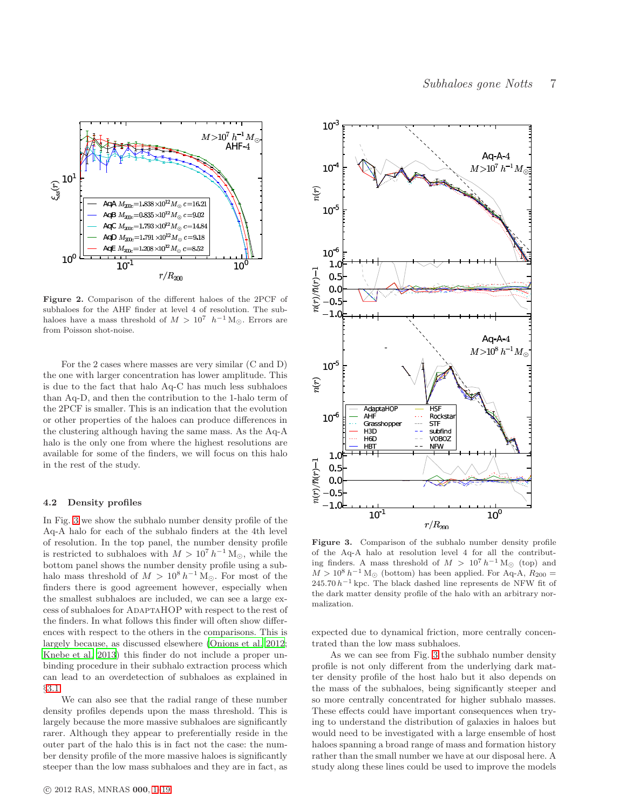

<span id="page-6-0"></span>Figure 2. Comparison of the different haloes of the 2PCF of subhaloes for the AHF finder at level 4 of resolution. The subhaloes have a mass threshold of  $M > 10^7 h^{-1} M_{\odot}$ . Errors are from Poisson shot-noise.

For the 2 cases where masses are very similar (C and D) the one with larger concentration has lower amplitude. This is due to the fact that halo Aq-C has much less subhaloes than Aq-D, and then the contribution to the 1-halo term of the 2PCF is smaller. This is an indication that the evolution or other properties of the haloes can produce differences in the clustering although having the same mass. As the Aq-A halo is the only one from where the highest resolutions are available for some of the finders, we will focus on this halo in the rest of the study.

## <span id="page-6-2"></span>4.2 Density profiles

In Fig. [3](#page-6-1) we show the subhalo number density profile of the Aq-A halo for each of the subhalo finders at the 4th level of resolution. In the top panel, the number density profile is restricted to subhaloes with  $M > 10^7 h^{-1}$  M<sub>☉</sub>, while the bottom panel shows the number density profile using a subhalo mass threshold of  $M > 10^8 h^{-1} M_{\odot}$ . For most of the finders there is good agreement however, especially when the smallest subhaloes are included, we can see a large excess of subhaloes for AdaptaHOP with respect to the rest of the finders. In what follows this finder will often show differences with respect to the others in the comparisons. This is largely because, as discussed elsewhere [\(Onions et al. 2012;](#page-16-20) [Knebe et al. 2013\)](#page-15-20) this finder do not include a proper unbinding procedure in their subhalo extraction process which can lead to an overdetection of subhaloes as explained in §[3.1.](#page-3-0)

We can also see that the radial range of these number density profiles depends upon the mass threshold. This is largely because the more massive subhaloes are significantly rarer. Although they appear to preferentially reside in the outer part of the halo this is in fact not the case: the number density profile of the more massive haloes is significantly steeper than the low mass subhaloes and they are in fact, as



<span id="page-6-1"></span>Figure 3. Comparison of the subhalo number density profile of the Aq-A halo at resolution level 4 for all the contributing finders. A mass threshold of  $M > 10^7 h^{-1} M_{\odot}$  (top) and  $M > 10^8 h^{-1}$  M<sub>☉</sub> (bottom) has been applied. For Aq-A,  $R_{200} =$  $245.70 h^{-1}$  kpc. The black dashed line represents de NFW fit of the dark matter density profile of the halo with an arbitrary normalization.

expected due to dynamical friction, more centrally concentrated than the low mass subhaloes.

As we can see from Fig. [3](#page-6-1) the subhalo number density profile is not only different from the underlying dark matter density profile of the host halo but it also depends on the mass of the subhaloes, being significantly steeper and so more centrally concentrated for higher subhalo masses. These effects could have important consequences when trying to understand the distribution of galaxies in haloes but would need to be investigated with a large ensemble of host haloes spanning a broad range of mass and formation history rather than the small number we have at our disposal here. A study along these lines could be used to improve the models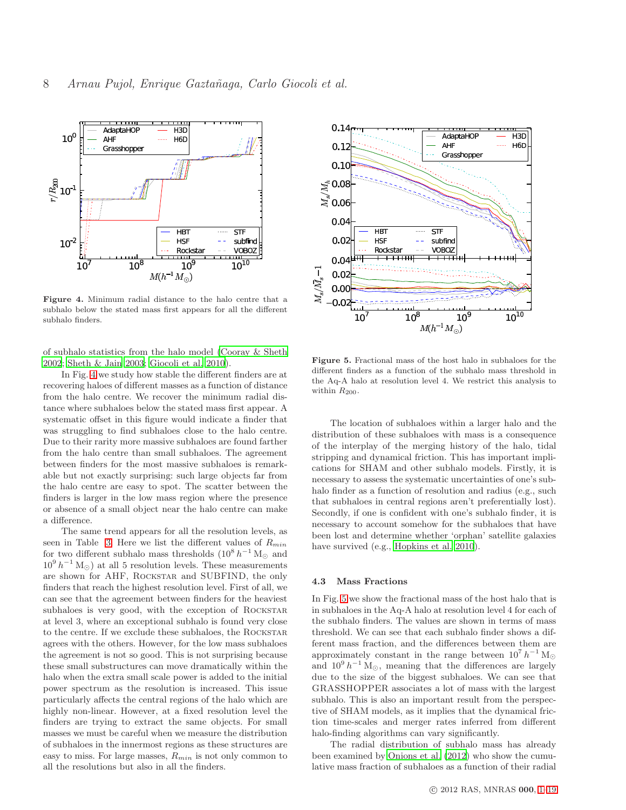

<span id="page-7-0"></span>Figure 4. Minimum radial distance to the halo centre that a subhalo below the stated mass first appears for all the different subhalo finders.

of subhalo statistics from the halo model [\(Cooray & Sheth](#page-15-35) [2002](#page-15-35); [Sheth & Jain 2003;](#page-16-15) [Giocoli et al. 2010](#page-15-36)).

In Fig. [4](#page-7-0) we study how stable the different finders are at recovering haloes of different masses as a function of distance from the halo centre. We recover the minimum radial distance where subhaloes below the stated mass first appear. A systematic offset in this figure would indicate a finder that was struggling to find subhaloes close to the halo centre. Due to their rarity more massive subhaloes are found farther from the halo centre than small subhaloes. The agreement between finders for the most massive subhaloes is remarkable but not exactly surprising: such large objects far from the halo centre are easy to spot. The scatter between the finders is larger in the low mass region where the presence or absence of a small object near the halo centre can make a difference.

The same trend appears for all the resolution levels, as seen in Table [3.](#page-8-0) Here we list the different values of  $R_{min}$ for two different subhalo mass thresholds  $(10^8 h^{-1} M_{\odot}$  and  $10^{9} h^{-1}$  M<sub>☉</sub>) at all 5 resolution levels. These measurements are shown for AHF, ROCKSTAR and SUBFIND, the only finders that reach the highest resolution level. First of all, we can see that the agreement between finders for the heaviest subhaloes is very good, with the exception of ROCKSTAR at level 3, where an exceptional subhalo is found very close to the centre. If we exclude these subhaloes, the ROCKSTAR agrees with the others. However, for the low mass subhaloes the agreement is not so good. This is not surprising because these small substructures can move dramatically within the halo when the extra small scale power is added to the initial power spectrum as the resolution is increased. This issue particularly affects the central regions of the halo which are highly non-linear. However, at a fixed resolution level the finders are trying to extract the same objects. For small masses we must be careful when we measure the distribution of subhaloes in the innermost regions as these structures are easy to miss. For large masses,  $R_{min}$  is not only common to all the resolutions but also in all the finders.



<span id="page-7-1"></span>Figure 5. Fractional mass of the host halo in subhaloes for the different finders as a function of the subhalo mass threshold in the Aq-A halo at resolution level 4. We restrict this analysis to within  $R_{200}$ .

The location of subhaloes within a larger halo and the distribution of these subhaloes with mass is a consequence of the interplay of the merging history of the halo, tidal stripping and dynamical friction. This has important implications for SHAM and other subhalo models. Firstly, it is necessary to assess the systematic uncertainties of one's subhalo finder as a function of resolution and radius (e.g., such that subhaloes in central regions aren't preferentially lost). Secondly, if one is confident with one's subhalo finder, it is necessary to account somehow for the subhaloes that have been lost and determine whether 'orphan' satellite galaxies have survived (e.g., [Hopkins et al. 2010\)](#page-15-37).

## <span id="page-7-2"></span>4.3 Mass Fractions

In Fig. [5](#page-7-1) we show the fractional mass of the host halo that is in subhaloes in the Aq-A halo at resolution level 4 for each of the subhalo finders. The values are shown in terms of mass threshold. We can see that each subhalo finder shows a different mass fraction, and the differences between them are approximately constant in the range between  $10^7 h^{-1}$  M<sub>☉</sub> and  $10^9 h^{-1}$  M<sub>☉</sub>, meaning that the differences are largely due to the size of the biggest subhaloes. We can see that GRASSHOPPER associates a lot of mass with the largest subhalo. This is also an important result from the perspective of SHAM models, as it implies that the dynamical friction time-scales and merger rates inferred from different halo-finding algorithms can vary significantly.

The radial distribution of subhalo mass has already been examined by [Onions et al. \(2012](#page-16-20)) who show the cumulative mass fraction of subhaloes as a function of their radial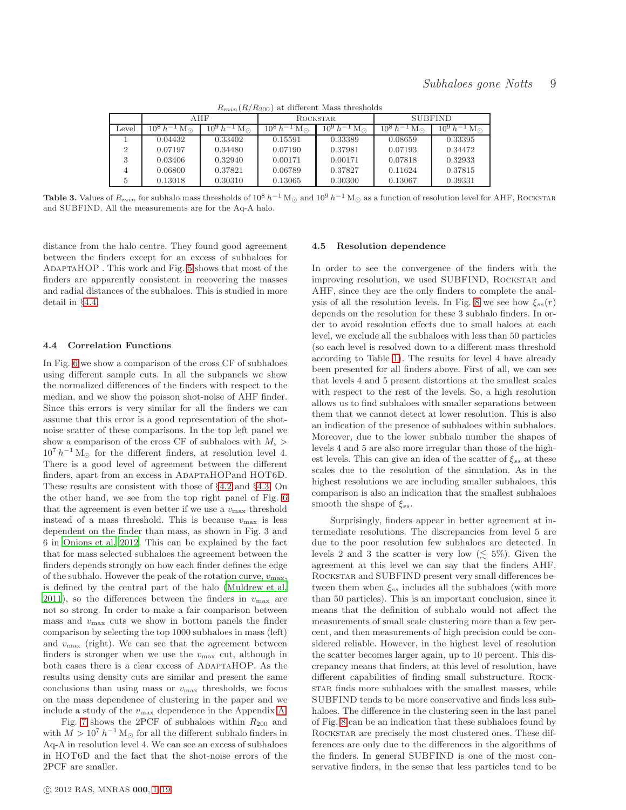|       | <b>AHF</b>                           |                                              | ROCKSTAR                              |                                      | <b>SUBFIND</b>                       |                                         |  |  |
|-------|--------------------------------------|----------------------------------------------|---------------------------------------|--------------------------------------|--------------------------------------|-----------------------------------------|--|--|
| Level | $10^8 h^{-1}$<br>$\cdot^1$ M $\odot$ | $^{-1}$ M $_{\odot}$<br>10 <sub>2</sub><br>h | $10^8 h^{-1}$<br>$^{-1}$ M $_{\odot}$ | $10^9$<br>$^{-1}$ M $_{\odot}$<br>h. | $10^8$<br>$^{-1}$ M $_{\odot}$<br>h. | $10^9$<br>$^{-1}$ M $_{\odot}$<br>$h^-$ |  |  |
|       | 0.04432                              | 0.33402                                      | 0.15591                               | 0.33389                              | 0.08659                              | 0.33395                                 |  |  |
| റ     | 0.07197                              | 0.34480                                      | 0.07190                               | 0.37981                              | 0.07193                              | 0.34472                                 |  |  |
| 3     | 0.03406                              | 0.32940                                      | 0.00171                               | 0.00171                              | 0.07818                              | 0.32933                                 |  |  |
|       | 0.06800                              | 0.37821                                      | 0.06789                               | 0.37827                              | 0.11624                              | 0.37815                                 |  |  |
| 5     | 0.13018                              | 0.30310                                      | 0.13065                               | 0.30300                              | 0.13067                              | 0.39331                                 |  |  |

 $R_{min}(R/R_{200})$  at different Mass thresholds

<span id="page-8-0"></span>Table 3. Values of  $R_{min}$  for subhalo mass thresholds of 10<sup>8</sup> h<sup>-1</sup> M<sub>☉</sub> and 10<sup>9</sup> h<sup>-1</sup> M<sub>☉</sub> as a function of resolution level for AHF, ROCKSTAR and SUBFIND. All the measurements are for the Aq-A halo.

distance from the halo centre. They found good agreement between the finders except for an excess of subhaloes for AdaptaHOP . This work and Fig. [5](#page-7-1) shows that most of the finders are apparently consistent in recovering the masses and radial distances of the subhaloes. This is studied in more detail in §[4.4.](#page-8-1)

## <span id="page-8-1"></span>4.4 Correlation Functions

In Fig. [6](#page-9-0) we show a comparison of the cross CF of subhaloes using different sample cuts. In all the subpanels we show the normalized differences of the finders with respect to the median, and we show the poisson shot-noise of AHF finder. Since this errors is very similar for all the finders we can assume that this error is a good representation of the shotnoise scatter of these comparisons. In the top left panel we show a comparison of the cross CF of subhaloes with  $M_s$  $10^7 h^{-1}$  M<sub>☉</sub> for the different finders, at resolution level 4. There is a good level of agreement between the different finders, apart from an excess in ADAPTAHOPand HOT6D. These results are consistent with those of §[4.2](#page-6-2) and §[4.3.](#page-7-2) On the other hand, we see from the top right panel of Fig. [6](#page-9-0) that the agreement is even better if we use a  $v_{\text{max}}$  threshold instead of a mass threshold. This is because  $v_{\text{max}}$  is less dependent on the finder than mass, as shown in Fig. 3 and 6 in [Onions et al. 2012](#page-16-20). This can be explained by the fact that for mass selected subhaloes the agreement between the finders depends strongly on how each finder defines the edge of the subhalo. However the peak of the rotation curve,  $v_{\text{max}}$ , is defined by the central part of the halo [\(Muldrew et al.](#page-15-21) [2011](#page-15-21)), so the differences between the finders in  $v_{\text{max}}$  are not so strong. In order to make a fair comparison between mass and  $v_{\text{max}}$  cuts we show in bottom panels the finder comparison by selecting the top 1000 subhaloes in mass (left) and  $v_{\text{max}}$  (right). We can see that the agreement between finders is stronger when we use the  $v_{\text{max}}$  cut, although in both cases there is a clear excess of ADAPTAHOP. As the results using density cuts are similar and present the same conclusions than using mass or  $v_{\text{max}}$  thresholds, we focus on the mass dependence of clustering in the paper and we include a study of the  $v_{\text{max}}$  dependence in the Appendix [A.](#page-16-34)

Fig. [7](#page-10-0) shows the 2PCF of subhaloes within  $R_{200}$  and with  $M > 10^7 h^{-1}$  M<sub>☉</sub> for all the different subhalo finders in Aq-A in resolution level 4. We can see an excess of subhaloes in HOT6D and the fact that the shot-noise errors of the 2PCF are smaller.

## <span id="page-8-2"></span>4.5 Resolution dependence

In order to see the convergence of the finders with the improving resolution, we used SUBFIND, ROCKSTAR and AHF, since they are the only finders to complete the anal-ysis of all the resolution levels. In Fig. [8](#page-11-0) we see how  $\xi_{ss}(r)$ depends on the resolution for these 3 subhalo finders. In order to avoid resolution effects due to small haloes at each level, we exclude all the subhaloes with less than 50 particles (so each level is resolved down to a different mass threshold according to Table [1\)](#page-2-0). The results for level 4 have already been presented for all finders above. First of all, we can see that levels 4 and 5 present distortions at the smallest scales with respect to the rest of the levels. So, a high resolution allows us to find subhaloes with smaller separations between them that we cannot detect at lower resolution. This is also an indication of the presence of subhaloes within subhaloes. Moreover, due to the lower subhalo number the shapes of levels 4 and 5 are also more irregular than those of the highest levels. This can give an idea of the scatter of  $\xi_{ss}$  at these scales due to the resolution of the simulation. As in the highest resolutions we are including smaller subhaloes, this comparison is also an indication that the smallest subhaloes smooth the shape of  $\xi_{ss}$ .

Surprisingly, finders appear in better agreement at intermediate resolutions. The discrepancies from level 5 are due to the poor resolution few subhaloes are detected. In levels 2 and 3 the scatter is very low ( $\lesssim$  5%). Given the agreement at this level we can say that the finders AHF, ROCKSTAR and SUBFIND present very small differences between them when  $\xi_{ss}$  includes all the subhaloes (with more than 50 particles). This is an important conclusion, since it means that the definition of subhalo would not affect the measurements of small scale clustering more than a few percent, and then measurements of high precision could be considered reliable. However, in the highest level of resolution the scatter becomes larger again, up to 10 percent. This discrepancy means that finders, at this level of resolution, have different capabilities of finding small substructure. Rockstar finds more subhaloes with the smallest masses, while SUBFIND tends to be more conservative and finds less subhaloes. The difference in the clustering seen in the last panel of Fig. [8](#page-11-0) can be an indication that these subhaloes found by ROCKSTAR are precisely the most clustered ones. These differences are only due to the differences in the algorithms of the finders. In general SUBFIND is one of the most conservative finders, in the sense that less particles tend to be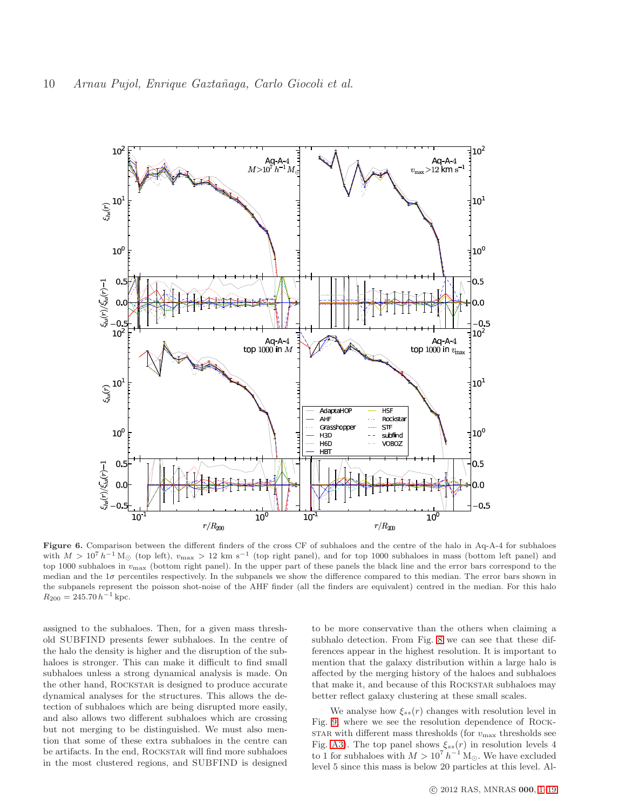

<span id="page-9-0"></span>Figure 6. Comparison between the different finders of the cross CF of subhaloes and the centre of the halo in Aq-A-4 for subhaloes with  $M > 10^7 h^{-1}$  M<sub>o</sub> (top left),  $v_{\text{max}} > 12$  km s<sup>-1</sup> (top right panel), and for top 1000 subhaloes in mass (bottom left panel) and top 1000 subhaloes in  $v_{\text{max}}$  (bottom right panel). In the upper part of these panels the black line and the error bars correspond to the median and the  $1\sigma$  percentiles respectively. In the subpanels we show the difference compared to this median. The error bars shown in the subpanels represent the poisson shot-noise of the AHF finder (all the finders are equivalent) centred in the median. For this halo  $R_{200} = 245.70 h^{-1}$  kpc.

assigned to the subhaloes. Then, for a given mass threshold SUBFIND presents fewer subhaloes. In the centre of the halo the density is higher and the disruption of the subhaloes is stronger. This can make it difficult to find small subhaloes unless a strong dynamical analysis is made. On the other hand, ROCKSTAR is designed to produce accurate dynamical analyses for the structures. This allows the detection of subhaloes which are being disrupted more easily, and also allows two different subhaloes which are crossing but not merging to be distinguished. We must also mention that some of these extra subhaloes in the centre can be artifacts. In the end, ROCKSTAR will find more subhaloes in the most clustered regions, and SUBFIND is designed

to be more conservative than the others when claiming a subhalo detection. From Fig. [8](#page-11-0) we can see that these differences appear in the highest resolution. It is important to mention that the galaxy distribution within a large halo is affected by the merging history of the haloes and subhaloes that make it, and because of this ROCKSTAR subhaloes may better reflect galaxy clustering at these small scales.

We analyse how  $\xi_{ss}(r)$  changes with resolution level in Fig. [9,](#page-12-0) where we see the resolution dependence of Rock-STAR with different mass thresholds (for  $v_{\text{max}}$  thresholds see Fig. [A3\)](#page-18-1). The top panel shows  $\xi_{ss}(r)$  in resolution levels 4 to 1 for subhaloes with  $M > 10^7 h^{-1}$  M<sub>☉</sub>. We have excluded level 5 since this mass is below 20 particles at this level. Al-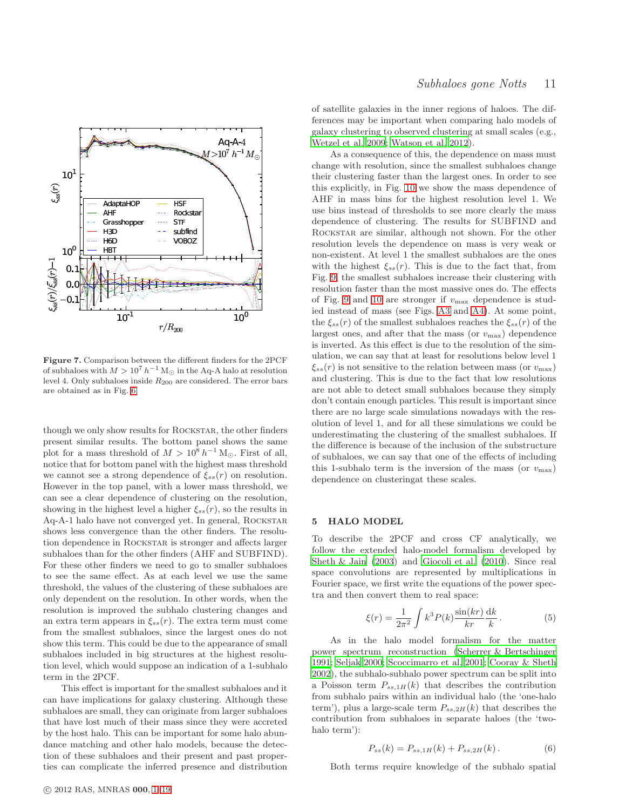

<span id="page-10-0"></span>Figure 7. Comparison between the different finders for the 2PCF of subhaloes with  $M > 10^7 h^{-1}$  M<sub>☉</sub> in the Aq-A halo at resolution level 4. Only subhaloes inside  $R_{200}$  are considered. The error bars are obtained as in Fig. [6.](#page-9-0)

though we only show results for ROCKSTAR, the other finders present similar results. The bottom panel shows the same plot for a mass threshold of  $M > 10^8 h^{-1} M_{\odot}$ . First of all, notice that for bottom panel with the highest mass threshold we cannot see a strong dependence of  $\xi_{ss}(r)$  on resolution. However in the top panel, with a lower mass threshold, we can see a clear dependence of clustering on the resolution, showing in the highest level a higher  $\xi_{ss}(r)$ , so the results in Aq-A-1 halo have not converged yet. In general, ROCKSTAR shows less convergence than the other finders. The resolution dependence in ROCKSTAR is stronger and affects larger subhaloes than for the other finders (AHF and SUBFIND). For these other finders we need to go to smaller subhaloes to see the same effect. As at each level we use the same threshold, the values of the clustering of these subhaloes are only dependent on the resolution. In other words, when the resolution is improved the subhalo clustering changes and an extra term appears in  $\xi_{ss}(r)$ . The extra term must come from the smallest subhaloes, since the largest ones do not show this term. This could be due to the appearance of small subhaloes included in big structures at the highest resolution level, which would suppose an indication of a 1-subhalo term in the 2PCF.

This effect is important for the smallest subhaloes and it can have implications for galaxy clustering. Although these subhaloes are small, they can originate from larger subhaloes that have lost much of their mass since they were accreted by the host halo. This can be important for some halo abundance matching and other halo models, because the detection of these subhaloes and their present and past properties can complicate the inferred presence and distribution of satellite galaxies in the inner regions of haloes. The differences may be important when comparing halo models of galaxy clustering to observed clustering at small scales (e.g., [Wetzel et al. 2009](#page-16-35); [Watson et al. 2012](#page-16-36)).

As a consequence of this, the dependence on mass must change with resolution, since the smallest subhaloes change their clustering faster than the largest ones. In order to see this explicitly, in Fig. [10](#page-12-1) we show the mass dependence of AHF in mass bins for the highest resolution level 1. We use bins instead of thresholds to see more clearly the mass dependence of clustering. The results for SUBFIND and ROCKSTAR are similar, although not shown. For the other resolution levels the dependence on mass is very weak or non-existent. At level 1 the smallest subhaloes are the ones with the highest  $\xi_{ss}(r)$ . This is due to the fact that, from Fig. [9,](#page-12-0) the smallest subhaloes increase their clustering with resolution faster than the most massive ones do. The effects of Fig. [9](#page-12-0) and [10](#page-12-1) are stronger if  $v_{\text{max}}$  dependence is studied instead of mass (see Figs. [A3](#page-18-1) and [A4\)](#page-18-0). At some point, the  $\xi_{ss}(r)$  of the smallest subhaloes reaches the  $\xi_{ss}(r)$  of the largest ones, and after that the mass (or  $v_{\text{max}}$ ) dependence is inverted. As this effect is due to the resolution of the simulation, we can say that at least for resolutions below level 1  $\xi_{ss}(r)$  is not sensitive to the relation between mass (or  $v_{\text{max}}$ ) and clustering. This is due to the fact that low resolutions are not able to detect small subhaloes because they simply don't contain enough particles. This result is important since there are no large scale simulations nowadays with the resolution of level 1, and for all these simulations we could be underestimating the clustering of the smallest subhaloes. If the difference is because of the inclusion of the substructure of subhaloes, we can say that one of the effects of including this 1-subhalo term is the inversion of the mass (or  $v_{\text{max}}$ ) dependence on clusteringat these scales.

#### 5 HALO MODEL

To describe the 2PCF and cross CF analytically, we follow the extended halo-model formalism developed by [Sheth & Jain \(2003](#page-16-15)) and [Giocoli et al. \(2010](#page-15-36)). Since real space convolutions are represented by multiplications in Fourier space, we first write the equations of the power spectra and then convert them to real space:

$$
\xi(r) = \frac{1}{2\pi^2} \int k^3 P(k) \frac{\sin(kr)}{kr} \frac{\mathrm{d}k}{k} \,. \tag{5}
$$

As in the halo model formalism for the matter power spectrum reconstruction [\(Scherrer & Bertschinger](#page-16-37) [1991](#page-16-37); [Seljak 2000](#page-16-9); [Scoccimarro et al. 2001](#page-16-10); [Cooray & Sheth](#page-15-35) [2002](#page-15-35)), the subhalo-subhalo power spectrum can be split into a Poisson term  $P_{ss,1H}(k)$  that describes the contribution from subhalo pairs within an individual halo (the 'one-halo term'), plus a large-scale term  $P_{ss,2H}(k)$  that describes the contribution from subhaloes in separate haloes (the 'twohalo term'):

<span id="page-10-1"></span>
$$
P_{ss}(k) = P_{ss,1H}(k) + P_{ss,2H}(k).
$$
 (6)

Both terms require knowledge of the subhalo spatial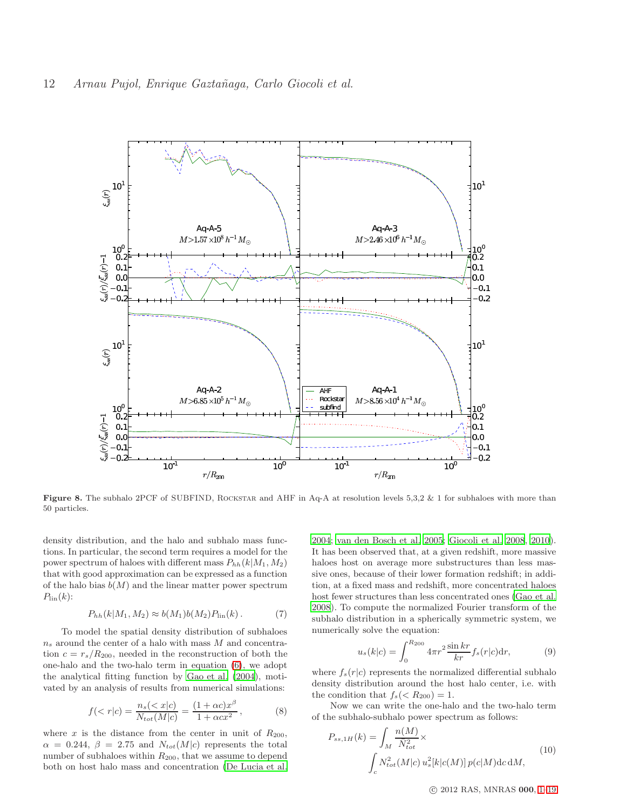

<span id="page-11-0"></span>Figure 8. The subhalo 2PCF of SUBFIND, ROCKSTAR and AHF in Aq-A at resolution levels 5,3,2 & 1 for subhaloes with more than 50 particles.

density distribution, and the halo and subhalo mass functions. In particular, the second term requires a model for the power spectrum of haloes with different mass  $P_{hh}(k|M_1, M_2)$ that with good approximation can be expressed as a function of the halo bias  $b(M)$  and the linear matter power spectrum  $P_{\text{lin}}(k)$ :

$$
P_{hh}(k|M_1, M_2) \approx b(M_1)b(M_2)P_{lin}(k). \tag{7}
$$

To model the spatial density distribution of subhaloes  $n_s$  around the center of a halo with mass M and concentration  $c = r_s/R_{200}$ , needed in the reconstruction of both the one-halo and the two-halo term in equation [\(6\)](#page-10-1), we adopt the analytical fitting function by [Gao et al. \(2004](#page-15-33)), motivated by an analysis of results from numerical simulations:

$$
f(\n(8)
$$

where x is the distance from the center in unit of  $R_{200}$ ,  $\alpha = 0.244, \beta = 2.75$  and  $N_{tot}(M|c)$  represents the total number of subhaloes within  $R_{200}$ , that we assume to depend both on host halo mass and concentration [\(De Lucia et al.](#page-15-38)

[2004](#page-15-38); [van den Bosch et al. 2005](#page-16-17); [Giocoli et al. 2008](#page-15-17), [2010](#page-15-14)). It has been observed that, at a given redshift, more massive haloes host on average more substructures than less massive ones, because of their lower formation redshift; in addition, at a fixed mass and redshift, more concentrated haloes host fewer structures than less concentrated ones [\(Gao et al.](#page-15-39) [2008](#page-15-39)). To compute the normalized Fourier transform of the subhalo distribution in a spherically symmetric system, we numerically solve the equation:

$$
u_s(k|c) = \int_0^{R_{200}} 4\pi r^2 \frac{\sin kr}{kr} f_s(r|c) dr,
$$
 (9)

where  $f_s(r|c)$  represents the normalized differential subhalo density distribution around the host halo center, i.e. with the condition that  $f_s$  (<  $R_{200}$ ) = 1.

Now we can write the one-halo and the two-halo term of the subhalo-subhalo power spectrum as follows:

<span id="page-11-1"></span>
$$
P_{ss,1H}(k) = \int_M \frac{n(M)}{\bar{N}_{tot}^2} \times
$$
  

$$
\int_c N_{tot}^2(M|c) u_s^2[k|c(M)] p(c|M)dc\mathrm{d}M,
$$
\n(10)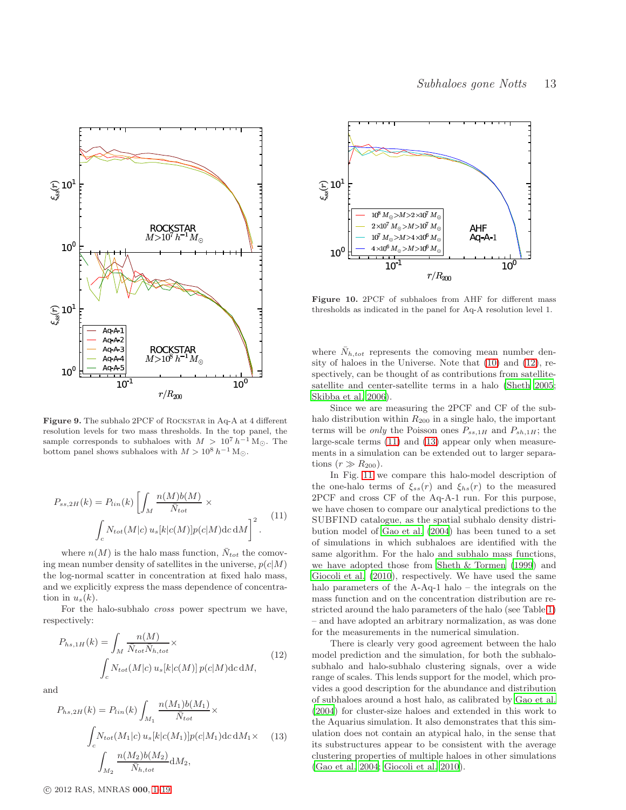

<span id="page-12-0"></span>Figure 9. The subhalo 2PCF of ROCKSTAR in Aq-A at 4 different resolution levels for two mass thresholds. In the top panel, the sample corresponds to subhaloes with  $M > 10^7 h^{-1} \,\rm M_\odot$ . The bottom panel shows subhaloes with  $M > 10^8 h^{-1} M_{\odot}$ .

<span id="page-12-3"></span>
$$
P_{ss,2H}(k) = P_{lin}(k) \left[ \int_M \frac{n(M)b(M)}{\bar{N}_{tot}} \times \int_c N_{tot}(M|c) u_s[k|c(M)]p(c|M)\mathrm{d}c\,\mathrm{d}M \right]^2.
$$
 (11)

where  $n(M)$  is the halo mass function,  $\bar{N}_{tot}$  the comoving mean number density of satellites in the universe,  $p(c|M)$ the log-normal scatter in concentration at fixed halo mass, and we explicitly express the mass dependence of concentration in  $u_s(k)$ .

For the halo-subhalo cross power spectrum we have, respectively:

<span id="page-12-2"></span>
$$
P_{hs,1H}(k) = \int_M \frac{n(M)}{\bar{N}_{tot}\bar{N}_{h,tot}} \times
$$
  

$$
\int_c N_{tot}(M|c) u_s[k|c(M)] p(c|M) dc dM,
$$
 (12)

and

<span id="page-12-4"></span>
$$
P_{hs,2H}(k) = P_{lin}(k) \int_{M_1} \frac{n(M_1)b(M_1)}{\bar{N}_{tot}} \times
$$

$$
\int_{c} N_{tot}(M_1|c) u_s[k|c(M_1)]p(c|M_1)dc\,dM_1 \times \qquad (13)
$$

$$
\int_{M_2} \frac{n(M_2)b(M_2)}{\bar{N}_{h,tot}} dM_2,
$$



<span id="page-12-1"></span>Figure 10. 2PCF of subhaloes from AHF for different mass thresholds as indicated in the panel for Aq-A resolution level 1.

where  $N_{h,tot}$  represents the comoving mean number density of haloes in the Universe. Note that [\(10\)](#page-11-1) and [\(12\)](#page-12-2), respectively, can be thought of as contributions from satellitesatellite and center-satellite terms in a halo [\(Sheth 2005](#page-16-38); [Skibba et al. 2006](#page-16-39)).

Since we are measuring the 2PCF and CF of the subhalo distribution within  $R_{200}$  in a single halo, the important terms will be *only* the Poisson ones  $P_{ss,1H}$  and  $P_{sh,1H}$ ; the large-scale terms [\(11\)](#page-12-3) and [\(13\)](#page-12-4) appear only when measurements in a simulation can be extended out to larger separations  $(r \gg R_{200})$ .

In Fig. [11](#page-13-0) we compare this halo-model description of the one-halo terms of  $\xi_{ss}(r)$  and  $\xi_{hs}(r)$  to the measured 2PCF and cross CF of the Aq-A-1 run. For this purpose, we have chosen to compare our analytical predictions to the SUBFIND catalogue, as the spatial subhalo density distribution model of [Gao et al. \(2004](#page-15-33)) has been tuned to a set of simulations in which subhaloes are identified with the same algorithm. For the halo and subhalo mass functions, we have adopted those from [Sheth & Tormen \(1999](#page-16-1)) and [Giocoli et al. \(2010](#page-15-14)), respectively. We have used the same halo parameters of the A-Aq-1 halo – the integrals on the mass function and on the concentration distribution are restricted around the halo parameters of the halo (see Table [1\)](#page-2-0) – and have adopted an arbitrary normalization, as was done for the measurements in the numerical simulation.

There is clearly very good agreement between the halo model prediction and the simulation, for both the subhalosubhalo and halo-subhalo clustering signals, over a wide range of scales. This lends support for the model, which provides a good description for the abundance and distribution of subhaloes around a host halo, as calibrated by [Gao et al.](#page-15-33) [\(2004](#page-15-33)) for cluster-size haloes and extended in this work to the Aquarius simulation. It also demonstrates that this simulation does not contain an atypical halo, in the sense that its substructures appear to be consistent with the average clustering properties of multiple haloes in other simulations [\(Gao et al. 2004](#page-15-33); [Giocoli et al. 2010](#page-15-14)).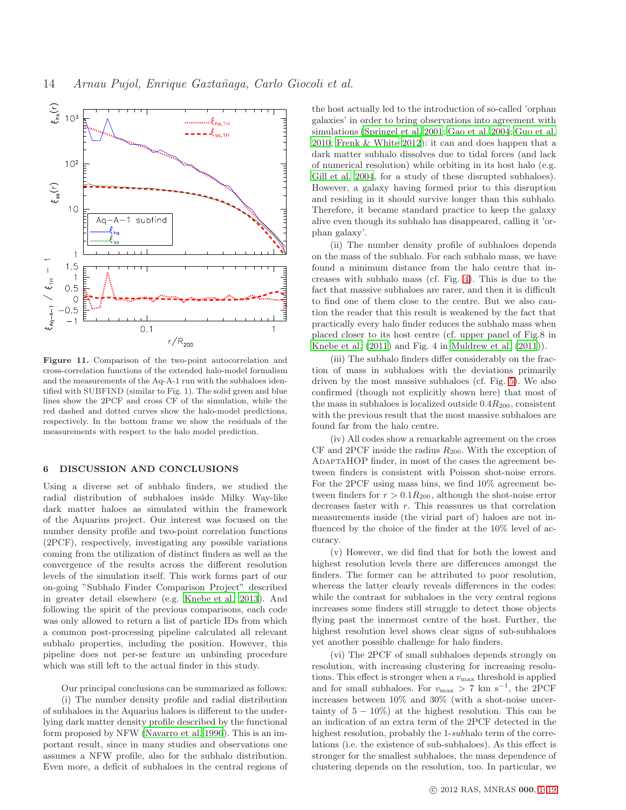

<span id="page-13-0"></span>Figure 11. Comparison of the two-point autocorrelation and cross-correlation functions of the extended halo-model formalism and the measurements of the Aq-A-1 run with the subhaloes identified with SUBFIND (similar to Fig. 1). The solid green and blue lines show the 2PCF and cross CF of the simulation, while the red dashed and dotted curves show the halo-model predictions, respectively. In the bottom frame we show the residuals of the measurements with respect to the halo model prediction.

#### 6 DISCUSSION AND CONCLUSIONS

Using a diverse set of subhalo finders, we studied the radial distribution of subhaloes inside Milky Way-like dark matter haloes as simulated within the framework of the Aquarius project. Our interest was focused on the number density profile and two-point correlation functions (2PCF), respectively, investigating any possible variations coming from the utilization of distinct finders as well as the convergence of the results across the different resolution levels of the simulation itself. This work forms part of our on-going "Subhalo Finder Comparison Project" described in greater detail elsewhere (e.g. [Knebe et al. 2013](#page-15-20)). And following the spirit of the previous comparisons, each code was only allowed to return a list of particle IDs from which a common post-processing pipeline calculated all relevant subhalo properties, including the position. However, this pipeline does not per-se feature an unbinding procedure which was still left to the actual finder in this study.

Our principal conclusions can be summarized as follows: (i) The number density profile and radial distribution of subhaloes in the Aquarius haloes is different to the under-

lying dark matter density profile described by the functional form proposed by NFW [\(Navarro et al. 1996](#page-15-22)). This is an important result, since in many studies and observations one assumes a NFW profile, also for the subhalo distribution. Even more, a deficit of subhaloes in the central regions of

the host actually led to the introduction of so-called 'orphan galaxies' in order to bring observations into agreement with simulations [\(Springel et al. 2001](#page-16-28); [Gao et al. 2004;](#page-15-40) [Guo et al.](#page-15-41) [2010](#page-15-41); [Frenk & White 2012](#page-15-42)): it can and does happen that a dark matter subhalo dissolves due to tidal forces (and lack of numerical resolution) while orbiting in its host halo (e.g. [Gill et al. 2004,](#page-15-43) for a study of these disrupted subhaloes). However, a galaxy having formed prior to this disruption and residing in it should survive longer than this subhalo. Therefore, it became standard practice to keep the galaxy alive even though its subhalo has disappeared, calling it 'orphan galaxy'.

(ii) The number density profile of subhaloes depends on the mass of the subhalo. For each subhalo mass, we have found a minimum distance from the halo centre that increases with subhalo mass (cf. Fig. [4\)](#page-7-0). This is due to the fact that massive subhaloes are rarer, and then it is difficult to find one of them close to the centre. But we also caution the reader that this result is weakened by the fact that practically every halo finder reduces the subhalo mass when placed closer to its host centre (cf. upper panel of Fig.8 in [Knebe et al. \(2011](#page-15-18)) and Fig. 4 in [Muldrew et al. \(2011](#page-15-21))).

(iii) The subhalo finders differ considerably on the fraction of mass in subhaloes with the deviations primarily driven by the most massive subhaloes (cf. Fig. [5\)](#page-7-1). We also confirmed (though not explicitly shown here) that most of the mass in subhaloes is localized outside  $0.4R_{200}$ , consistent with the previous result that the most massive subhaloes are found far from the halo centre.

(iv) All codes show a remarkable agreement on the cross CF and 2PCF inside the radius  $R_{200}$ . With the exception of AdaptaHOP finder, in most of the cases the agreement between finders is consistent with Poisson shot-noise errors. For the 2PCF using mass bins, we find 10% agreement between finders for  $r > 0.1R_{200}$ , although the shot-noise error decreases faster with r. This reassures us that correlation measurements inside (the virial part of) haloes are not influenced by the choice of the finder at the 10% level of accuracy.

(v) However, we did find that for both the lowest and highest resolution levels there are differences amongst the finders. The former can be attributed to poor resolution, whereas the latter clearly reveals differences in the codes: while the contrast for subhaloes in the very central regions increases some finders still struggle to detect those objects flying past the innermost centre of the host. Further, the highest resolution level shows clear signs of sub-subhaloes yet another possible challenge for halo finders.

(vi) The 2PCF of small subhaloes depends strongly on resolution, with increasing clustering for increasing resolutions. This effect is stronger when a  $v_{\text{max}}$  threshold is applied and for small subhaloes. For  $v_{\text{max}} > 7 \text{ km s}^{-1}$ , the 2PCF increases between 10% and 30% (with a shot-noise uncertainty of  $5 - 10\%$ ) at the highest resolution. This can be an indication of an extra term of the 2PCF detected in the highest resolution, probably the 1-subhalo term of the correlations (i.e. the existence of sub-subhaloes). As this effect is stronger for the smallest subhaloes, the mass dependence of clustering depends on the resolution, too. In particular, we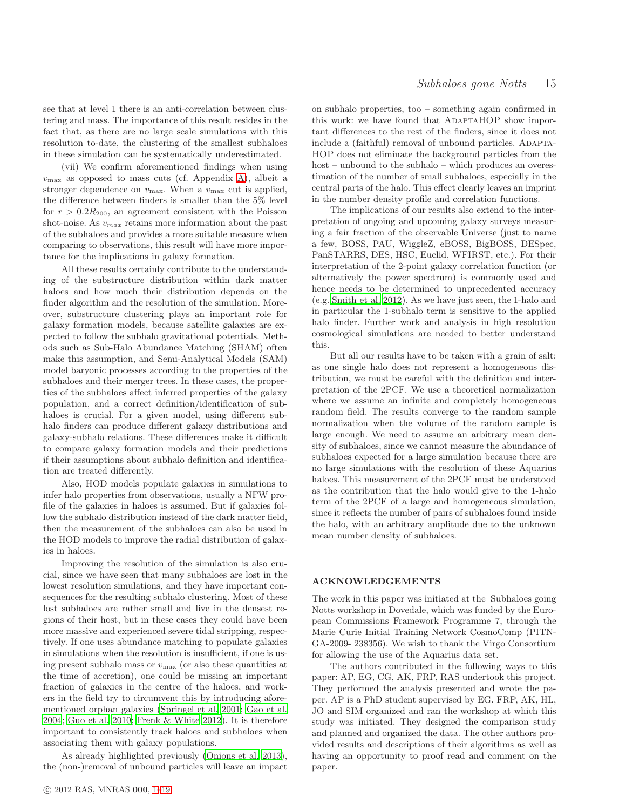see that at level 1 there is an anti-correlation between clustering and mass. The importance of this result resides in the fact that, as there are no large scale simulations with this resolution to-date, the clustering of the smallest subhaloes in these simulation can be systematically underestimated.

(vii) We confirm aforementioned findings when using  $v_{\text{max}}$  as opposed to mass cuts (cf. Appendix [A\)](#page-16-34), albeit a stronger dependence on  $v_{\text{max}}$ . When a  $v_{\text{max}}$  cut is applied, the difference between finders is smaller than the 5% level for  $r > 0.2R_{200}$ , an agreement consistent with the Poisson shot-noise. As  $v_{max}$  retains more information about the past of the subhaloes and provides a more suitable measure when comparing to observations, this result will have more importance for the implications in galaxy formation.

All these results certainly contribute to the understanding of the substructure distribution within dark matter haloes and how much their distribution depends on the finder algorithm and the resolution of the simulation. Moreover, substructure clustering plays an important role for galaxy formation models, because satellite galaxies are expected to follow the subhalo gravitational potentials. Methods such as Sub-Halo Abundance Matching (SHAM) often make this assumption, and Semi-Analytical Models (SAM) model baryonic processes according to the properties of the subhaloes and their merger trees. In these cases, the properties of the subhaloes affect inferred properties of the galaxy population, and a correct definition/identification of subhaloes is crucial. For a given model, using different subhalo finders can produce different galaxy distributions and galaxy-subhalo relations. These differences make it difficult to compare galaxy formation models and their predictions if their assumptions about subhalo definition and identification are treated differently.

Also, HOD models populate galaxies in simulations to infer halo properties from observations, usually a NFW profile of the galaxies in haloes is assumed. But if galaxies follow the subhalo distribution instead of the dark matter field, then the measurement of the subhaloes can also be used in the HOD models to improve the radial distribution of galaxies in haloes.

Improving the resolution of the simulation is also crucial, since we have seen that many subhaloes are lost in the lowest resolution simulations, and they have important consequences for the resulting subhalo clustering. Most of these lost subhaloes are rather small and live in the densest regions of their host, but in these cases they could have been more massive and experienced severe tidal stripping, respectively. If one uses abundance matching to populate galaxies in simulations when the resolution is insufficient, if one is using present subhalo mass or  $v_{\text{max}}$  (or also these quantities at the time of accretion), one could be missing an important fraction of galaxies in the centre of the haloes, and workers in the field try to circumvent this by introducing aforementioned orphan galaxies [\(Springel et al. 2001](#page-16-28); [Gao et al.](#page-15-40) [2004](#page-15-40); [Guo et al. 2010](#page-15-41); [Frenk & White 2012\)](#page-15-42). It is therefore important to consistently track haloes and subhaloes when associating them with galaxy populations.

As already highlighted previously [\(Onions et al. 2013](#page-16-21)), the (non-)removal of unbound particles will leave an impact on subhalo properties, too – something again confirmed in this work: we have found that ADAPTAHOP show important differences to the rest of the finders, since it does not include a (faithful) removal of unbound particles. ADAPTA-HOP does not eliminate the background particles from the host – unbound to the subhalo – which produces an overestimation of the number of small subhaloes, especially in the central parts of the halo. This effect clearly leaves an imprint in the number density profile and correlation functions.

The implications of our results also extend to the interpretation of ongoing and upcoming galaxy surveys measuring a fair fraction of the observable Universe (just to name a few, BOSS, PAU, WiggleZ, eBOSS, BigBOSS, DESpec, PanSTARRS, DES, HSC, Euclid, WFIRST, etc.). For their interpretation of the 2-point galaxy correlation function (or alternatively the power spectrum) is commonly used and hence needs to be determined to unprecedented accuracy (e.g. [Smith et al. 2012](#page-16-40)). As we have just seen, the 1-halo and in particular the 1-subhalo term is sensitive to the applied halo finder. Further work and analysis in high resolution cosmological simulations are needed to better understand this.

But all our results have to be taken with a grain of salt: as one single halo does not represent a homogeneous distribution, we must be careful with the definition and interpretation of the 2PCF. We use a theoretical normalization where we assume an infinite and completely homogeneous random field. The results converge to the random sample normalization when the volume of the random sample is large enough. We need to assume an arbitrary mean density of subhaloes, since we cannot measure the abundance of subhaloes expected for a large simulation because there are no large simulations with the resolution of these Aquarius haloes. This measurement of the 2PCF must be understood as the contribution that the halo would give to the 1-halo term of the 2PCF of a large and homogeneous simulation, since it reflects the number of pairs of subhaloes found inside the halo, with an arbitrary amplitude due to the unknown mean number density of subhaloes.

## ACKNOWLEDGEMENTS

The work in this paper was initiated at the Subhaloes going Notts workshop in Dovedale, which was funded by the European Commissions Framework Programme 7, through the Marie Curie Initial Training Network CosmoComp (PITN-GA-2009- 238356). We wish to thank the Virgo Consortium for allowing the use of the Aquarius data set.

The authors contributed in the following ways to this paper: AP, EG, CG, AK, FRP, RAS undertook this project. They performed the analysis presented and wrote the paper. AP is a PhD student supervised by EG. FRP, AK, HL, JO and SIM organized and ran the workshop at which this study was initiated. They designed the comparison study and planned and organized the data. The other authors provided results and descriptions of their algorithms as well as having an opportunity to proof read and comment on the paper.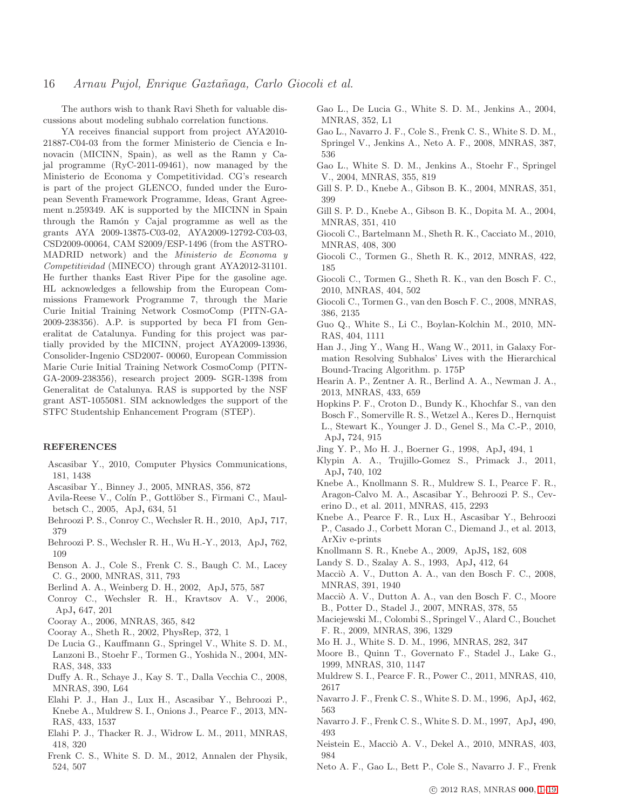The authors wish to thank Ravi Sheth for valuable discussions about modeling subhalo correlation functions.

YA receives financial support from project AYA2010- 21887-C04-03 from the former Ministerio de Ciencia e Innovacin (MICINN, Spain), as well as the Ramn y Cajal programme (RyC-2011-09461), now managed by the Ministerio de Economa y Competitividad. CG's research is part of the project GLENCO, funded under the European Seventh Framework Programme, Ideas, Grant Agreement n.259349. AK is supported by the MICINN in Spain through the Ramón y Cajal programme as well as the grants AYA 2009-13875-C03-02, AYA2009-12792-C03-03, CSD2009-00064, CAM S2009/ESP-1496 (from the ASTRO-MADRID network) and the Ministerio de Economa y Competitividad (MINECO) through grant AYA2012-31101. He further thanks East River Pipe for the gasoline age. HL acknowledges a fellowship from the European Commissions Framework Programme 7, through the Marie Curie Initial Training Network CosmoComp (PITN-GA-2009-238356). A.P. is supported by beca FI from Generalitat de Catalunya. Funding for this project was partially provided by the MICINN, project AYA2009-13936, Consolider-Ingenio CSD2007- 00060, European Commission Marie Curie Initial Training Network CosmoComp (PITN-GA-2009-238356), research project 2009- SGR-1398 from Generalitat de Catalunya. RAS is supported by the NSF grant AST-1055081. SIM acknowledges the support of the STFC Studentship Enhancement Program (STEP).

## REFERENCES

- <span id="page-15-27"></span>Ascasibar Y., 2010, Computer Physics Communications, 181, 1438
- <span id="page-15-26"></span>Ascasibar Y., Binney J., 2005, MNRAS, 356, 872
- <span id="page-15-8"></span>Avila-Reese V., Colín P., Gottlöber S., Firmani C., Maulbetsch C., 2005, ApJ, 634, 51
- <span id="page-15-16"></span>Behroozi P. S., Conroy C., Wechsler R. H., 2010, ApJ, 717, 379
- <span id="page-15-29"></span>Behroozi P. S., Wechsler R. H., Wu H.-Y., 2013, ApJ, 762, 109
- <span id="page-15-10"></span>Benson A. J., Cole S., Frenk C. S., Baugh C. M., Lacey C. G., 2000, MNRAS, 311, 793
- <span id="page-15-11"></span>Berlind A. A., Weinberg D. H., 2002, ApJ, 575, 587
- <span id="page-15-15"></span>Conroy C., Wechsler R. H., Kravtsov A. V., 2006, ApJ, 647, 201
- <span id="page-15-12"></span>Cooray A., 2006, MNRAS, 365, 842
- <span id="page-15-35"></span>Cooray A., Sheth R., 2002, PhysRep, 372, 1
- <span id="page-15-38"></span>De Lucia G., Kauffmann G., Springel V., White S. D. M., Lanzoni B., Stoehr F., Tormen G., Yoshida N., 2004, MN-RAS, 348, 333
- <span id="page-15-7"></span>Duffy A. R., Schaye J., Kay S. T., Dalla Vecchia C., 2008, MNRAS, 390, L64
- <span id="page-15-19"></span>Elahi P. J., Han J., Lux H., Ascasibar Y., Behroozi P., Knebe A., Muldrew S. I., Onions J., Pearce F., 2013, MN-RAS, 433, 1537
- <span id="page-15-30"></span>Elahi P. J., Thacker R. J., Widrow L. M., 2011, MNRAS, 418, 320
- <span id="page-15-42"></span>Frenk C. S., White S. D. M., 2012, Annalen der Physik, 524, 507
- <span id="page-15-40"></span>Gao L., De Lucia G., White S. D. M., Jenkins A., 2004, MNRAS, 352, L1
- <span id="page-15-39"></span>Gao L., Navarro J. F., Cole S., Frenk C. S., White S. D. M., Springel V., Jenkins A., Neto A. F., 2008, MNRAS, 387, 536
- <span id="page-15-33"></span>Gao L., White S. D. M., Jenkins A., Stoehr F., Springel V., 2004, MNRAS, 355, 819
- <span id="page-15-23"></span>Gill S. P. D., Knebe A., Gibson B. K., 2004, MNRAS, 351, 399
- <span id="page-15-43"></span>Gill S. P. D., Knebe A., Gibson B. K., Dopita M. A., 2004, MNRAS, 351, 410
- <span id="page-15-36"></span>Giocoli C., Bartelmann M., Sheth R. K., Cacciato M., 2010, MNRAS, 408, 300
- <span id="page-15-1"></span>Giocoli C., Tormen G., Sheth R. K., 2012, MNRAS, 422, 185
- <span id="page-15-14"></span>Giocoli C., Tormen G., Sheth R. K., van den Bosch F. C., 2010, MNRAS, 404, 502
- <span id="page-15-17"></span>Giocoli C., Tormen G., van den Bosch F. C., 2008, MNRAS, 386, 2135
- <span id="page-15-41"></span>Guo Q., White S., Li C., Boylan-Kolchin M., 2010, MN-RAS, 404, 1111
- <span id="page-15-25"></span>Han J., Jing Y., Wang H., Wang W., 2011, in Galaxy Formation Resolving Subhalos' Lives with the Hierarchical Bound-Tracing Algorithm. p. 175P
- <span id="page-15-13"></span>Hearin A. P., Zentner A. R., Berlind A. A., Newman J. A., 2013, MNRAS, 433, 659
- <span id="page-15-37"></span>Hopkins P. F., Croton D., Bundy K., Khochfar S., van den Bosch F., Somerville R. S., Wetzel A., Keres D., Hernquist L., Stewart K., Younger J. D., Genel S., Ma C.-P., 2010, ApJ, 724, 915
- <span id="page-15-9"></span>Jing Y. P., Mo H. J., Boerner G., 1998, ApJ, 494, 1
- <span id="page-15-34"></span>Klypin A. A., Trujillo-Gomez S., Primack J., 2011, ApJ, 740, 102
- <span id="page-15-18"></span>Knebe A., Knollmann S. R., Muldrew S. I., Pearce F. R., Aragon-Calvo M. A., Ascasibar Y., Behroozi P. S., Ceverino D., et al. 2011, MNRAS, 415, 2293
- <span id="page-15-20"></span>Knebe A., Pearce F. R., Lux H., Ascasibar Y., Behroozi P., Casado J., Corbett Moran C., Diemand J., et al. 2013, ArXiv e-prints
- <span id="page-15-24"></span>Knollmann S. R., Knebe A., 2009, ApJS, 182, 608
- <span id="page-15-31"></span>Landy S. D., Szalay A. S., 1993, ApJ, 412, 64
- <span id="page-15-32"></span>Macciò A. V., Dutton A. A., van den Bosch F. C., 2008, MNRAS, 391, 1940
- <span id="page-15-5"></span>Macciò A. V., Dutton A. A., van den Bosch F. C., Moore B., Potter D., Stadel J., 2007, MNRAS, 378, 55
- <span id="page-15-28"></span>Maciejewski M., Colombi S., Springel V., Alard C., Bouchet F. R., 2009, MNRAS, 396, 1329
- <span id="page-15-0"></span>Mo H. J., White S. D. M., 1996, MNRAS, 282, 347
- <span id="page-15-4"></span>Moore B., Quinn T., Governato F., Stadel J., Lake G., 1999, MNRAS, 310, 1147
- <span id="page-15-21"></span>Muldrew S. I., Pearce F. R., Power C., 2011, MNRAS, 410, 2617
- <span id="page-15-22"></span>Navarro J. F., Frenk C. S., White S. D. M., 1996, ApJ, 462, 563
- <span id="page-15-3"></span>Navarro J. F., Frenk C. S., White S. D. M., 1997, ApJ, 490, 493
- <span id="page-15-2"></span>Neistein E., Macciò A. V., Dekel A., 2010, MNRAS, 403, 984
- <span id="page-15-6"></span>Neto A. F., Gao L., Bett P., Cole S., Navarro J. F., Frenk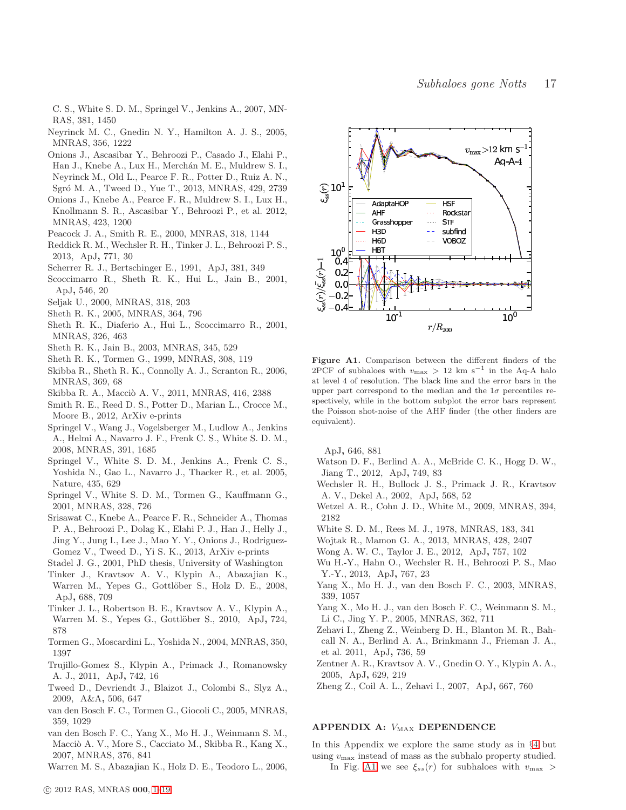C. S., White S. D. M., Springel V., Jenkins A., 2007, MN-RAS, 381, 1450

- <span id="page-16-29"></span>Neyrinck M. C., Gnedin N. Y., Hamilton A. J. S., 2005, MNRAS, 356, 1222
- <span id="page-16-21"></span>Onions J., Ascasibar Y., Behroozi P., Casado J., Elahi P., Han J., Knebe A., Lux H., Merchán M. E., Muldrew S. I., Neyrinck M., Old L., Pearce F. R., Potter D., Ruiz A. N., Sgró M. A., Tweed D., Yue T., 2013, MNRAS, 429, 2739
- <span id="page-16-20"></span>Onions J., Knebe A., Pearce F. R., Muldrew S. I., Lux H., Knollmann S. R., Ascasibar Y., Behroozi P., et al. 2012, MNRAS, 423, 1200
- <span id="page-16-11"></span>Peacock J. A., Smith R. E., 2000, MNRAS, 318, 1144
- <span id="page-16-14"></span>Reddick R. M., Wechsler R. H., Tinker J. L., Behroozi P. S., 2013, ApJ, 771, 30
- <span id="page-16-37"></span>Scherrer R. J., Bertschinger E., 1991, ApJ, 381, 349
- <span id="page-16-10"></span>Scoccimarro R., Sheth R. K., Hui L., Jain B., 2001, ApJ, 546, 20
- <span id="page-16-9"></span>Seljak U., 2000, MNRAS, 318, 203
- <span id="page-16-38"></span>Sheth R. K., 2005, MNRAS, 364, 796
- <span id="page-16-4"></span>Sheth R. K., Diaferio A., Hui L., Scoccimarro R., 2001, MNRAS, 326, 463
- <span id="page-16-15"></span>Sheth R. K., Jain B., 2003, MNRAS, 345, 529
- <span id="page-16-1"></span>Sheth R. K., Tormen G., 1999, MNRAS, 308, 119
- <span id="page-16-39"></span>Skibba R., Sheth R. K., Connolly A. J., Scranton R., 2006, MNRAS, 369, 68
- <span id="page-16-7"></span>Skibba R. A., Macciò A. V., 2011, MNRAS, 416, 2388
- <span id="page-16-40"></span>Smith R. E., Reed D. S., Potter D., Marian L., Crocce M., Moore B., 2012, ArXiv e-prints
- <span id="page-16-24"></span>Springel V., Wang J., Vogelsberger M., Ludlow A., Jenkins A., Helmi A., Navarro J. F., Frenk C. S., White S. D. M., 2008, MNRAS, 391, 1685
- <span id="page-16-25"></span>Springel V., White S. D. M., Jenkins A., Frenk C. S., Yoshida N., Gao L., Navarro J., Thacker R., et al. 2005, Nature, 435, 629
- <span id="page-16-28"></span>Springel V., White S. D. M., Tormen G., Kauffmann G., 2001, MNRAS, 328, 726
- <span id="page-16-22"></span>Srisawat C., Knebe A., Pearce F. R., Schneider A., Thomas P. A., Behroozi P., Dolag K., Elahi P. J., Han J., Helly J., Jing Y., Jung I., Lee J., Mao Y. Y., Onions J., Rodriguez-Gomez V., Tweed D., Yi S. K., 2013, ArXiv e-prints
- <span id="page-16-27"></span>Stadel J. G., 2001, PhD thesis, University of Washington
- <span id="page-16-3"></span>Tinker J., Kravtsov A. V., Klypin A., Abazajian K., Warren M., Yepes G., Gottlöber S., Holz D. E., 2008, ApJ, 688, 709
- <span id="page-16-5"></span>Tinker J. L., Robertson B. E., Kravtsov A. V., Klypin A., Warren M. S., Yepes G., Gottlöber S., 2010, ApJ, 724, 878
- <span id="page-16-23"></span>Tormen G., Moscardini L., Yoshida N., 2004, MNRAS, 350, 1397
- <span id="page-16-16"></span>Trujillo-Gomez S., Klypin A., Primack J., Romanowsky A. J., 2011, ApJ, 742, 16
- <span id="page-16-26"></span>Tweed D., Devriendt J., Blaizot J., Colombi S., Slyz A., 2009, A&A, 506, 647
- <span id="page-16-17"></span>van den Bosch F. C., Tormen G., Giocoli C., 2005, MNRAS, 359, 1029
- <span id="page-16-13"></span>van den Bosch F. C., Yang X., Mo H. J., Weinmann S. M., Macciò A. V., More S., Cacciato M., Skibba R., Kang X., 2007, MNRAS, 376, 841
- <span id="page-16-2"></span>Warren M. S., Abazajian K., Holz D. E., Teodoro L., 2006,



<span id="page-16-41"></span>Figure A1. Comparison between the different finders of the 2PCF of subhaloes with  $v_{\text{max}} > 12 \text{ km s}^{-1}$  in the Aq-A halo at level 4 of resolution. The black line and the error bars in the upper part correspond to the median and the  $1\sigma$  percentiles respectively, while in the bottom subplot the error bars represent the Poisson shot-noise of the AHF finder (the other finders are equivalent).

ApJ, 646, 881

- <span id="page-16-36"></span>Watson D. F., Berlind A. A., McBride C. K., Hogg D. W., Jiang T., 2012, ApJ, 749, 83
- <span id="page-16-6"></span>Wechsler R. H., Bullock J. S., Primack J. R., Kravtsov A. V., Dekel A., 2002, ApJ, 568, 52
- <span id="page-16-35"></span>Wetzel A. R., Cohn J. D., White M., 2009, MNRAS, 394, 2182
- <span id="page-16-0"></span>White S. D. M., Rees M. J., 1978, MNRAS, 183, 341
- <span id="page-16-33"></span>Wojtak R., Mamon G. A., 2013, MNRAS, 428, 2407
- <span id="page-16-8"></span>Wong A. W. C., Taylor J. E., 2012, ApJ, 757, 102
- <span id="page-16-19"></span>Wu H.-Y., Hahn O., Wechsler R. H., Behroozi P. S., Mao Y.-Y., 2013, ApJ, 767, 23
- <span id="page-16-12"></span>Yang X., Mo H. J., van den Bosch F. C., 2003, MNRAS, 339, 1057
- <span id="page-16-32"></span>Yang X., Mo H. J., van den Bosch F. C., Weinmann S. M., Li C., Jing Y. P., 2005, MNRAS, 362, 711
- <span id="page-16-31"></span>Zehavi I., Zheng Z., Weinberg D. H., Blanton M. R., Bahcall N. A., Berlind A. A., Brinkmann J., Frieman J. A., et al. 2011, ApJ, 736, 59
- <span id="page-16-18"></span>Zentner A. R., Kravtsov A. V., Gnedin O. Y., Klypin A. A., 2005, ApJ, 629, 219
- <span id="page-16-30"></span>Zheng Z., Coil A. L., Zehavi I., 2007, ApJ, 667, 760

## <span id="page-16-34"></span>APPENDIX A: V<sub>MAX</sub> DEPENDENCE

In this Appendix we explore the same study as in §[4](#page-5-1) but using  $v_{\text{max}}$  instead of mass as the subhalo property studied.

In Fig. [A1](#page-16-41) we see  $\xi_{ss}(r)$  for subhaloes with  $v_{\text{max}} >$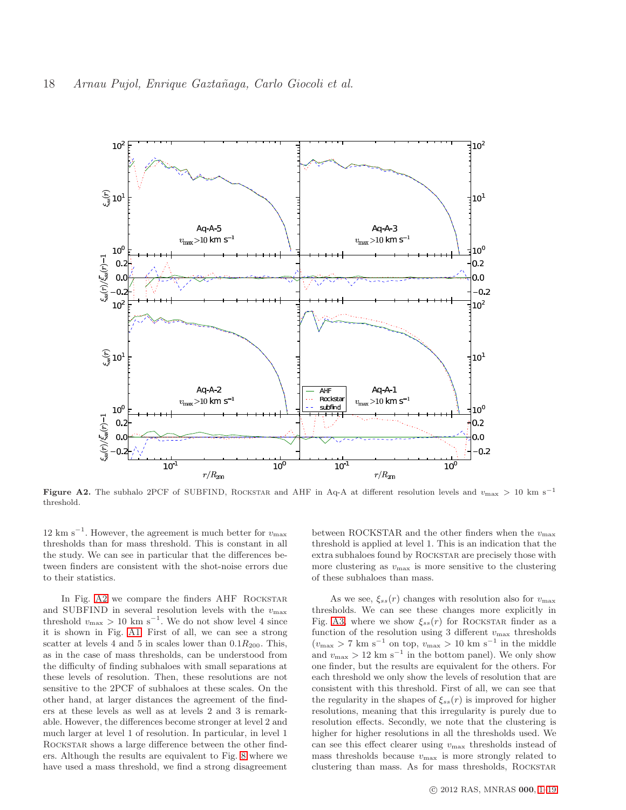

<span id="page-17-0"></span>Figure A2. The subhalo 2PCF of SUBFIND, ROCKSTAR and AHF in Aq-A at different resolution levels and  $v_{\text{max}} > 10 \text{ km s}^{-1}$ threshold.

12 km s<sup>-1</sup>. However, the agreement is much better for  $v_{\text{max}}$ thresholds than for mass threshold. This is constant in all the study. We can see in particular that the differences between finders are consistent with the shot-noise errors due to their statistics.

In Fig. [A2](#page-17-0) we compare the finders AHF ROCKSTAR and SUBFIND in several resolution levels with the  $v_{\text{max}}$ threshold  $v_{\text{max}} > 10 \text{ km s}^{-1}$ . We do not show level 4 since it is shown in Fig. [A1.](#page-16-41) First of all, we can see a strong scatter at levels 4 and 5 in scales lower than  $0.1R_{200}$ . This, as in the case of mass thresholds, can be understood from the difficulty of finding subhaloes with small separations at these levels of resolution. Then, these resolutions are not sensitive to the 2PCF of subhaloes at these scales. On the other hand, at larger distances the agreement of the finders at these levels as well as at levels 2 and 3 is remarkable. However, the differences become stronger at level 2 and much larger at level 1 of resolution. In particular, in level 1 ROCKSTAR shows a large difference between the other finders. Although the results are equivalent to Fig. [8](#page-11-0) where we have used a mass threshold, we find a strong disagreement

between ROCKSTAR and the other finders when the  $v_{\text{max}}$ threshold is applied at level 1. This is an indication that the extra subhaloes found by ROCKSTAR are precisely those with more clustering as  $v_{\text{max}}$  is more sensitive to the clustering of these subhaloes than mass.

As we see,  $\xi_{ss}(r)$  changes with resolution also for  $v_{\text{max}}$ thresholds. We can see these changes more explicitly in Fig. [A3,](#page-18-1) where we show  $\xi_{ss}(r)$  for ROCKSTAR finder as a function of the resolution using 3 different  $v_{\rm max}$  thresholds  $(v_{\text{max}} > 7 \text{ km s}^{-1}$  on top,  $v_{\text{max}} > 10 \text{ km s}^{-1}$  in the middle and  $v_{\text{max}} > 12 \text{ km s}^{-1}$  in the bottom panel). We only show one finder, but the results are equivalent for the others. For each threshold we only show the levels of resolution that are consistent with this threshold. First of all, we can see that the regularity in the shapes of  $\xi_{ss}(r)$  is improved for higher resolutions, meaning that this irregularity is purely due to resolution effects. Secondly, we note that the clustering is higher for higher resolutions in all the thresholds used. We can see this effect clearer using  $v_{\text{max}}$  thresholds instead of mass thresholds because  $v_{\text{max}}$  is more strongly related to clustering than mass. As for mass thresholds, ROCKSTAR